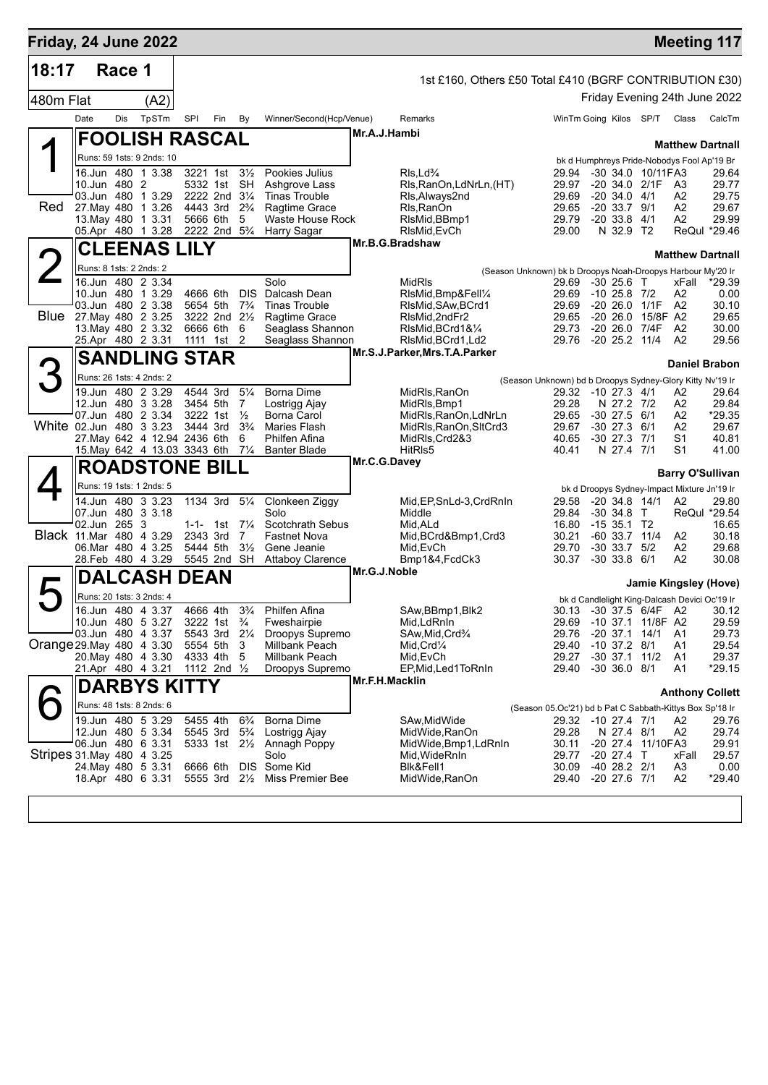| Friday, 24 June 2022       |                         |        |                                         |          |                                                    |                                  |                                        |                                                         |                                                                      |                                      |                   |                                               | <b>Meeting 117</b>                    |
|----------------------------|-------------------------|--------|-----------------------------------------|----------|----------------------------------------------------|----------------------------------|----------------------------------------|---------------------------------------------------------|----------------------------------------------------------------------|--------------------------------------|-------------------|-----------------------------------------------|---------------------------------------|
| 18:17                      |                         | Race 1 |                                         |          |                                                    |                                  |                                        | 1st £160, Others £50 Total £410 (BGRF CONTRIBUTION £30) |                                                                      |                                      |                   |                                               |                                       |
|                            |                         |        |                                         |          |                                                    |                                  |                                        |                                                         |                                                                      |                                      |                   |                                               | Friday Evening 24th June 2022         |
| 480m Flat                  |                         |        | (A2)                                    |          |                                                    |                                  |                                        |                                                         |                                                                      |                                      |                   |                                               |                                       |
|                            | Date                    | Dis    | TpSTm                                   | SPI      | Fin                                                | By                               | Winner/Second(Hcp/Venue)               | Remarks                                                 | WinTm Going Kilos SP/T                                               |                                      |                   | Class                                         | CalcTm                                |
|                            |                         |        | <b>FOOLISH RASCAL</b>                   |          |                                                    |                                  |                                        | Mr.A.J.Hambi                                            |                                                                      |                                      |                   |                                               | <b>Matthew Dartnall</b>               |
|                            |                         |        | Runs: 59 1sts: 9 2nds: 10               |          |                                                    |                                  |                                        |                                                         |                                                                      |                                      |                   | bk d Humphreys Pride-Nobodys Fool Ap'19 Br    |                                       |
|                            |                         |        | 16.Jun 480 1 3.38                       | 3221 1st | 5332 1st SH                                        | $3\frac{1}{2}$                   | Pookies Julius<br>Ashgrove Lass        | $Rls$ , $Ld$ <sup>3</sup> / <sub>4</sub>                | 29.94                                                                |                                      | -30 34.0 10/11FA3 |                                               | 29.64                                 |
|                            | 10.Jun 480 2            |        | 03.Jun 480 1 3.29                       |          | 2222 2nd 31/4                                      |                                  | <b>Tinas Trouble</b>                   | RIs, RanOn, LdNrLn, (HT)<br>RIs, Always 2nd             | 29.97<br>29.69                                                       | $-20$ 34.0 $4/1$                     | $-20, 34.0, 2/1F$ | A3<br>A2                                      | 29.77<br>29.75                        |
| Red.                       |                         |        | 27. May 480 1 3.26                      |          | 4443 3rd 2 <sup>3</sup> / <sub>4</sub>             |                                  | Ragtime Grace                          | Rls, RanOn                                              | 29.65                                                                | $-20$ 33.7 $9/1$                     |                   | A2                                            | 29.67                                 |
|                            |                         |        | 13. May 480 1 3.31<br>05.Apr 480 1 3.28 |          | 5666 6th<br>2222 2nd 5 <sup>3</sup> / <sub>4</sub> | 5                                | Waste House Rock<br>Harry Sagar        | RIsMid, BBmp1<br>RIsMid, EvCh                           | 29.79<br>29.00                                                       | $-2033.8$<br>N 32.9 T2               | 4/1               | A2                                            | 29.99<br>ReQul *29.46                 |
|                            |                         |        |                                         |          |                                                    |                                  |                                        | Mr.B.G.Bradshaw                                         |                                                                      |                                      |                   |                                               |                                       |
|                            |                         |        | <b>CLEENAS LILY</b>                     |          |                                                    |                                  |                                        |                                                         |                                                                      |                                      |                   | <b>Matthew Dartnall</b>                       |                                       |
|                            | Runs: 8 1sts: 2 2nds: 2 |        | 16.Jun 480 2 3.34                       |          |                                                    |                                  | Solo                                   | <b>MidRIs</b>                                           | (Season Unknown) bk b Droopys Noah-Droopys Harbour My'20 Ir<br>29.69 | $-30$ 25.6 T                         |                   | xFall                                         | $*29.39$                              |
|                            |                         |        | 10.Jun 480 1 3.29                       |          | 4666 6th                                           | <b>DIS</b>                       | Dalcash Dean                           | RIsMid, Bmp&Fell1/4                                     | 29.69                                                                | $-10$ 25.8 $7/2$                     |                   | A2                                            | 0.00                                  |
|                            |                         |        | 03.Jun 480 2 3.38                       |          | 5654 5th                                           | $7\frac{3}{4}$                   | <b>Tinas Trouble</b>                   | RIsMid, SAw, BCrd1                                      | 29.69                                                                |                                      | -20 26.0 1/1F A2  |                                               | 30.10                                 |
| Blue 27 May 480 2 3.25     |                         |        | 13. May 480 2 3.32                      |          | 3222 2nd 21/2<br>6666 6th                          | 6                                | Ragtime Grace<br>Seaglass Shannon      | RIsMid.2ndFr2<br>RIsMid, BCrd1&1/4                      | 29.65<br>29.73                                                       | -20 26.0 7/4F                        | -20 26.0 15/8F A2 | A <sub>2</sub>                                | 29.65<br>30.00                        |
|                            |                         |        | 25.Apr 480 2 3.31                       |          | 1111 1st 2                                         |                                  | Seaglass Shannon                       | RIsMid, BCrd1, Ld2                                      | 29.76 -20 25.2 11/4                                                  |                                      |                   | A <sub>2</sub>                                | 29.56                                 |
|                            |                         |        | <b>SANDLING STAR</b>                    |          |                                                    |                                  |                                        | Mr.S.J.Parker, Mrs.T.A.Parker                           |                                                                      |                                      |                   |                                               |                                       |
| 3                          |                         |        | Runs: 26 1sts: 4 2nds: 2                |          |                                                    |                                  |                                        |                                                         |                                                                      |                                      |                   | <b>Daniel Brabon</b>                          |                                       |
|                            |                         |        | 19.Jun 480 2 3.29                       |          | 4544 3rd                                           | $5\frac{1}{4}$                   | <b>Borna Dime</b>                      | MidRls, RanOn                                           | (Season Unknown) bd b Droopys Sydney-Glory Kitty Nv'19 Ir<br>29.32   | -10 27.3 4/1                         |                   | Α2                                            | 29.64                                 |
|                            |                         |        | 12.Jun 480 3 3.28                       |          | 3454 5th                                           | 7                                | Lostrigg Ajay                          | MidRls, Bmp1                                            | 29.28                                                                | N 27.2 7/2                           |                   | A2                                            | 29.84                                 |
| White 02.Jun 480 3 3.23    |                         |        | 07.Jun 480 2 3.34                       |          | 3222 1st<br>3444 3rd                               | $\frac{1}{2}$<br>$3\frac{3}{4}$  | Borna Carol<br>Maries Flash            | MidRls, RanOn, LdNrLn<br>MidRls, RanOn, SltCrd3         | 29.65<br>29.67                                                       | $-30$ 27.5 $6/1$<br>$-30$ 27.3 $6/1$ |                   | A2<br>A2                                      | *29.35<br>29.67                       |
|                            |                         |        | 27. May 642 4 12.94 2436 6th            |          |                                                    | 6                                | Philfen Afina                          | MidRIs, Crd2&3                                          | 40.65                                                                | $-30$ 27.3 $7/1$                     |                   | S1                                            | 40.81                                 |
|                            |                         |        | 15. May 642 4 13.03 3343 6th            |          |                                                    | $7\frac{1}{4}$                   | <b>Banter Blade</b>                    | HitRIs5                                                 | 40.41                                                                | N 27.4 7/1                           |                   | S1                                            | 41.00                                 |
|                            |                         |        | <b>ROADSTONE BILL</b>                   |          |                                                    |                                  |                                        | Mr.C.G.Davey                                            |                                                                      |                                      |                   |                                               | <b>Barry O'Sullivan</b>               |
|                            |                         |        | Runs: 19 1sts: 1 2nds: 5                |          |                                                    |                                  |                                        |                                                         |                                                                      |                                      |                   | bk d Droopys Sydney-Impact Mixture Jn'19 Ir   |                                       |
|                            |                         |        | 14.Jun 480 3 3.23                       |          | 1134 3rd 51/4                                      |                                  | Clonkeen Ziggy                         | Mid, EP, SnLd-3, CrdRnIn                                | 29.58                                                                |                                      | $-20, 34.8, 14/1$ | A2                                            | 29.80                                 |
|                            | 02.Jun 265 3            |        | 07.Jun 480 3 3.18                       |          | 1-1- 1st $7\frac{1}{4}$                            |                                  | Solo<br>Scotchrath Sebus               | Middle<br>Mid, ALd                                      | 29.84<br>16.80                                                       | $-30$ 34.8 T<br>$-1535.1$ T2         |                   |                                               | ReQul *29.54<br>16.65                 |
| Black 11.Mar 480 4 3.29    |                         |        |                                         |          | 2343 3rd                                           | 7                                | <b>Fastnet Nova</b>                    | Mid, BCrd&Bmp1, Crd3                                    | 30.21                                                                | $-60$ 33.7 11/4                      |                   | A2                                            | 30.18                                 |
|                            |                         |        | 06.Mar 480 4 3.25                       | 5444 5th |                                                    | $3\frac{1}{2}$                   | Gene Jeanie                            | Mid, EvCh                                               | 29.70                                                                | $-30$ 33.7 $5/2$                     |                   | A2                                            | 29.68                                 |
|                            |                         |        | 28.Feb 480 4 3.29                       |          | 5545 2nd SH                                        |                                  | <b>Attaboy Clarence</b>                | Bmp1&4, FcdCk3<br>Mr.G.J.Noble                          | 30.37                                                                | $-30$ 33.8 $6/1$                     |                   | A2                                            | 30.08                                 |
|                            |                         |        | <b>DALCASH DEAN</b>                     |          |                                                    |                                  |                                        |                                                         |                                                                      |                                      |                   | Jamie Kingsley (Hove)                         |                                       |
|                            |                         |        | Runs: 20 1sts: 3 2nds: 4                |          |                                                    |                                  |                                        |                                                         |                                                                      |                                      |                   | bk d Candlelight King-Dalcash Devici Oc'19 Ir |                                       |
|                            |                         |        | 16.Jun 480 4 3.37<br>10.Jun 480 5 3.27  | 4666 4th | 3222 1st <sup>3</sup> / <sub>4</sub>               | $3\frac{3}{4}$                   | Philfen Afina<br>Fweshairpie           | SAw, BBmp1, Blk2<br>Mid,LdRnIn                          | 29.69 -10 37.1 11/8F A2                                              |                                      |                   |                                               | 30.13 -30 37.5 6/4F A2 30.12<br>29.59 |
|                            |                         |        | 03.Jun 480 4 3.37                       |          | 5543 3rd 21/4                                      |                                  | Droopys Supremo                        | SAw, Mid, Crd <sup>3</sup> / <sub>4</sub>               | 29.76                                                                | $-20$ 37.1 14/1                      |                   | A1                                            | 29.73                                 |
| Orange 29 May 480 4 3.30   |                         |        |                                         |          | 5554 5th                                           | 3                                | Millbank Peach                         | $Mid,Crd\mathcal{V}_4$                                  | 29.40                                                                | $-10$ 37.2 $8/1$                     |                   | A1                                            | 29.54                                 |
|                            |                         |        | 20. May 480 4 3.30<br>21.Apr 480 4 3.21 |          | 4333 4th<br>1112 2nd $\frac{1}{2}$                 | 5                                | Millbank Peach<br>Droopys Supremo      | Mid,EvCh<br>EP,Mid,Led1ToRnIn                           | 29.27<br>29.40                                                       | -30 37.1 11/2<br>$-30$ 36.0 $8/1$    |                   | A1<br>A1                                      | 29.37<br>$*29.15$                     |
|                            |                         |        |                                         |          |                                                    |                                  |                                        | Mr.F.H.Macklin                                          |                                                                      |                                      |                   |                                               |                                       |
|                            |                         |        | <b>DARBYS KITTY</b>                     |          |                                                    |                                  |                                        |                                                         |                                                                      |                                      |                   |                                               | <b>Anthony Collett</b>                |
|                            |                         |        | Runs: 48 1sts: 8 2nds: 6                |          |                                                    |                                  |                                        |                                                         | (Season 05.Oc'21) bd b Pat C Sabbath-Kittys Box Sp'18 Ir             |                                      |                   |                                               |                                       |
|                            |                         |        | 19.Jun 480 5 3.29<br>12.Jun 480 5 3.34  | 5455 4th | 5545 3rd                                           | $6\frac{3}{4}$<br>$5\frac{3}{4}$ | <b>Borna Dime</b><br>Lostrigg Ajay     | SAw, Mid Wide<br>MidWide,RanOn                          | 29.32 -10 27.4 7/1<br>29.28                                          | N 27.4 8/1                           |                   | A2<br>A2                                      | 29.76<br>29.74                        |
|                            |                         |        | 06.Jun 480 6 3.31                       |          |                                                    |                                  | 5333 1st 21/ <sub>2</sub> Annagh Poppy | MidWide,Bmp1,LdRnIn                                     | 30.11                                                                |                                      | -20 27.4 11/10FA3 |                                               | 29.91                                 |
| Stripes 31. May 480 4 3.25 |                         |        |                                         |          |                                                    |                                  | Solo                                   | Mid, WideRnIn                                           | 29.77                                                                | $-20$ 27.4 T                         |                   | xFall                                         | 29.57                                 |
|                            |                         |        | 24. May 480 5 3.31<br>18.Apr 480 6 3.31 | 6666 6th | 5555 3rd 2 <sup>1/2</sup>                          |                                  | DIS Some Kid<br>Miss Premier Bee       | Blk&Fell1<br>MidWide, RanOn                             | 30.09<br>29.40                                                       | $-40$ 28.2 $2/1$<br>$-20$ 27.6 $7/1$ |                   | A3<br>A2                                      | 0.00<br>*29.40                        |
|                            |                         |        |                                         |          |                                                    |                                  |                                        |                                                         |                                                                      |                                      |                   |                                               |                                       |
|                            |                         |        |                                         |          |                                                    |                                  |                                        |                                                         |                                                                      |                                      |                   |                                               |                                       |
|                            |                         |        |                                         |          |                                                    |                                  |                                        |                                                         |                                                                      |                                      |                   |                                               |                                       |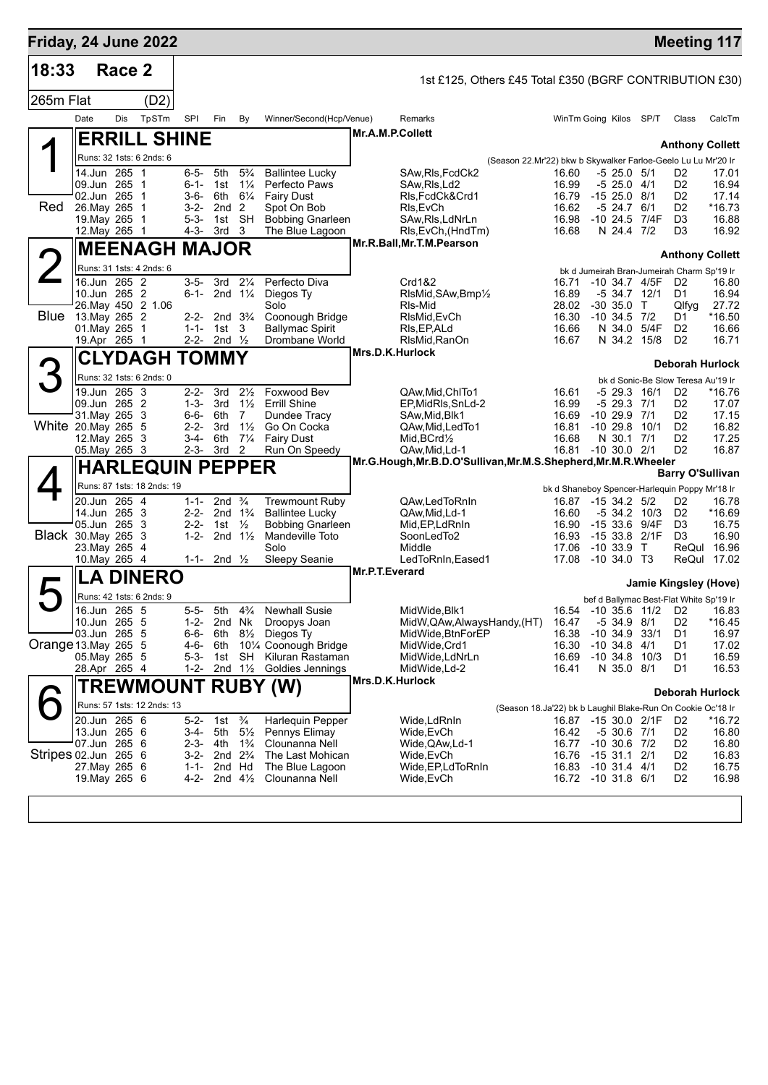| Friday, 24 June 2022 |                                                                                             |        |                                       |                                                             |                                                                                   |                                                                                             |                                                                                                                           |                |                                                                                                                          |                                                               |                                                                                                         |                                                                                              |                      | <b>Meeting 117</b>                                                                                         |                                                                 |
|----------------------|---------------------------------------------------------------------------------------------|--------|---------------------------------------|-------------------------------------------------------------|-----------------------------------------------------------------------------------|---------------------------------------------------------------------------------------------|---------------------------------------------------------------------------------------------------------------------------|----------------|--------------------------------------------------------------------------------------------------------------------------|---------------------------------------------------------------|---------------------------------------------------------------------------------------------------------|----------------------------------------------------------------------------------------------|----------------------|------------------------------------------------------------------------------------------------------------|-----------------------------------------------------------------|
| 18:33                |                                                                                             | Race 2 |                                       |                                                             |                                                                                   |                                                                                             |                                                                                                                           |                | 1st £125, Others £45 Total £350 (BGRF CONTRIBUTION £30)                                                                  |                                                               |                                                                                                         |                                                                                              |                      |                                                                                                            |                                                                 |
| 265m Flat            |                                                                                             |        | (D2)                                  |                                                             |                                                                                   |                                                                                             |                                                                                                                           |                |                                                                                                                          |                                                               |                                                                                                         |                                                                                              |                      |                                                                                                            |                                                                 |
|                      | Date                                                                                        | Dis    | TpSTm                                 | SPI                                                         | Fin                                                                               | By                                                                                          | Winner/Second(Hcp/Venue)                                                                                                  |                | Remarks                                                                                                                  |                                                               | WinTm Going Kilos SP/T                                                                                  |                                                                                              |                      | Class                                                                                                      | CalcTm                                                          |
|                      |                                                                                             |        | <b>ERRILL SHINE</b>                   |                                                             |                                                                                   |                                                                                             |                                                                                                                           |                | Mr.A.M.P.Collett                                                                                                         |                                                               |                                                                                                         |                                                                                              |                      |                                                                                                            |                                                                 |
|                      |                                                                                             |        | Runs: 32 1sts: 6 2nds: 6              |                                                             |                                                                                   |                                                                                             |                                                                                                                           |                |                                                                                                                          |                                                               |                                                                                                         |                                                                                              |                      | <b>Anthony Collett</b>                                                                                     |                                                                 |
| Red                  | 14.Jun 265 1<br>09.Jun 265 1<br>02.Jun 265<br>26. May 265 1<br>19. May 265<br>12. May 265 1 |        | - 1<br>- 1                            | 6-5-<br>$6 - 1 -$<br>$3 - 6 -$<br>3-2-<br>$5 - 3 -$         | 5th<br>1st<br>2nd <sub>2</sub><br>1st SH<br>4-3- 3rd 3                            | $5\frac{3}{4}$<br>$1\frac{1}{4}$<br>6th 61⁄4                                                | <b>Ballintee Lucky</b><br>Perfecto Paws<br><b>Fairy Dust</b><br>Spot On Bob<br><b>Bobbing Gnarleen</b><br>The Blue Lagoon |                | SAw, RIs, FcdCk2<br>SAw, RIs, Ld2<br>RIs, FcdCk&Crd1<br>RIs, EvCh<br>SAw, RIs, LdNrLn<br>RIs, EvCh, (HndTm)              | (Season 22.Mr'22) bkw b Skywalker Farloe-Geelo Lu Lu Mr'20 Ir | 16.60<br>16.99<br>16.79<br>16.62<br>16.98<br>16.68                                                      | $-5$ 25.0 $5/1$<br>$-525.04/1$<br>$-1525.08/1$<br>-5 24.7 6/1<br>$-10, 24.5$<br>N 24.4 7/2   | 7/4F                 | D2<br>D <sub>2</sub><br>D <sub>2</sub><br>D <sub>2</sub><br>D <sub>3</sub><br>D3                           | 17.01<br>16.94<br>17.14<br>*16.73<br>16.88<br>16.92             |
|                      |                                                                                             |        | <b>MEENAGH MAJOR</b>                  |                                                             |                                                                                   |                                                                                             |                                                                                                                           |                | Mr.R.Ball, Mr.T.M.Pearson                                                                                                |                                                               |                                                                                                         |                                                                                              |                      | <b>Anthony Collett</b>                                                                                     |                                                                 |
| $\angle$             |                                                                                             |        | Runs: 31 1sts: 4 2nds: 6              |                                                             |                                                                                   |                                                                                             |                                                                                                                           |                |                                                                                                                          |                                                               |                                                                                                         |                                                                                              |                      | bk d Jumeirah Bran-Jumeirah Charm Sp'19 Ir                                                                 |                                                                 |
|                      | 16.Jun 265 2<br>10.Jun 265 2<br><b>Blue</b> 13. May 265 2<br>01.May 265<br>19.Apr 265 1     |        | 26. May 450 2 1.06<br>$\overline{1}$  | $3 - 5 -$<br>6-1-<br>$2 - 2 -$<br>$1 - 1 -$                 | 3rd<br>2nd $1\frac{1}{4}$<br>2nd $3\frac{3}{4}$<br>1st<br>2-2- 2nd $\frac{1}{2}$  | $2\frac{1}{4}$<br>3                                                                         | Perfecto Diva<br>Diegos Ty<br>Solo<br>Coonough Bridge<br><b>Ballymac Spirit</b><br>Drombane World                         |                | Crd1&2<br>RIsMid, SAw, Bmp1/2<br>RIs-Mid<br>RIsMid, EvCh<br>RIs, EP, ALd<br>RIsMid.RanOn                                 |                                                               | 16.71<br>16.89<br>28.02<br>16.30<br>16.66<br>16.67                                                      | -10 34.7 4/5F<br>-5 34.7 12/1<br>$-30, 35.0$<br>$-10$ 34.5 $7/2$<br>N 34.0<br>N 34.2 15/8    | $\mathsf{T}$<br>5/4F | D <sub>2</sub><br>D1<br>Qlfyg<br>D1<br>D <sub>2</sub><br>D <sub>2</sub>                                    | 16.80<br>16.94<br>27.72<br>$*16.50$<br>16.66<br>16.71           |
|                      |                                                                                             |        | <b>CLYDAGH TOMMY</b>                  |                                                             |                                                                                   |                                                                                             |                                                                                                                           |                | Mrs.D.K.Hurlock                                                                                                          |                                                               |                                                                                                         |                                                                                              |                      | <b>Deborah Hurlock</b>                                                                                     |                                                                 |
|                      |                                                                                             |        | Runs: 32 1sts: 6 2nds: 0              |                                                             |                                                                                   |                                                                                             |                                                                                                                           |                |                                                                                                                          |                                                               |                                                                                                         |                                                                                              |                      | bk d Sonic-Be Slow Teresa Au'19 Ir                                                                         |                                                                 |
| White 20.May 265 5   | 19.Jun 265 3<br>09.Jun 265 2<br>31. May 265 3<br>12. May 265 3<br>05. May 265 3             |        |                                       | $2 - 2 -$<br>$1 - 3 -$<br>6-6-<br>$2 - 2 -$<br>3-4-         | 3rd<br>3rd<br>6th<br>3rd<br>6th<br>$2-3-3rd$                                      | $2\frac{1}{2}$<br>$1\frac{1}{2}$<br>7<br>$1\frac{1}{2}$<br>$7\frac{1}{4}$<br>$\overline{2}$ | Foxwood Bev<br><b>Errill Shine</b><br>Dundee Tracy<br>Go On Cocka<br><b>Fairy Dust</b><br>Run On Speedy                   |                | QAw.Mid.ChlTo1<br>EP, MidRIs, SnLd-2<br>SAw, Mid, Blk1<br>QAw, Mid, Led To 1<br>$Mid, BCrd\frac{1}{2}$<br>QAw,Mid,Ld-1   |                                                               | 16.61<br>16.99<br>16.69<br>16.81<br>16.68<br>16.81 -10 30.0 2/1                                         | -5 29.3 16/1<br>-5 29.3 7/1<br>$-1029.97/1$<br>$-1029.8$<br>N 30.1 7/1                       | 10/1                 | D <sub>2</sub><br>D <sub>2</sub><br>D2<br>D <sub>2</sub><br>D <sub>2</sub><br>D <sub>2</sub>               | *16.76<br>17.07<br>17.15<br>16.82<br>17.25<br>16.87             |
|                      |                                                                                             |        | <b>HARLEQUIN PEPPER</b>               |                                                             |                                                                                   |                                                                                             |                                                                                                                           |                | Mr.G.Hough, Mr.B.D.O'Sullivan, Mr.M.S.Shepherd, Mr.M.R.Wheeler                                                           |                                                               |                                                                                                         |                                                                                              |                      | <b>Barry O'Sullivan</b>                                                                                    |                                                                 |
| Black 30.May 265     | 20.Jun 265 4<br>14.Jun 265 3<br>05.Jun 265<br>23. May 265 4<br>10. May 265 4                |        | Runs: 87 1sts: 18 2nds: 19<br>-3<br>3 | 1-1-<br>$2 - 2 -$<br>$2 - 2 -$<br>$1 - 2 -$<br>$1 - 1 -$    | 2nd $\frac{3}{4}$<br>2nd $1\frac{3}{4}$<br>1st $\frac{1}{2}$<br>2nd $\frac{1}{2}$ | 2nd $1\frac{1}{2}$                                                                          | <b>Trewmount Ruby</b><br><b>Ballintee Lucky</b><br><b>Bobbing Gnarleen</b><br>Mandeville Toto<br>Solo<br>Sleepy Seanie    |                | QAw,LedToRnIn<br>QAw, Mid, Ld-1<br>Mid, EP, LdRnIn<br>SoonLedTo2<br>Middle<br>LedToRnIn, Eased1                          |                                                               | 16.87<br>16.60<br>16.90<br>16.93<br>17.06<br>17.08                                                      | $-1534.25/2$<br>$-5$ 34.2 10/3<br>$-153369/4F$<br>$-1533.8$<br>$-10,33.9$ T<br>$-10,34.0$ T3 | 2/1F                 | bk d Shaneboy Spencer-Harlequin Poppy Mr'18 Ir<br>D2<br>D <sub>2</sub><br>D <sub>3</sub><br>D <sub>3</sub> | 16.78<br>*16.69<br>16.75<br>16.90<br>ReQul 16.96<br>ReQul 17.02 |
|                      |                                                                                             |        | <b>LA DINERO</b>                      |                                                             |                                                                                   |                                                                                             |                                                                                                                           | Mr.P.T.Everard |                                                                                                                          |                                                               |                                                                                                         |                                                                                              |                      | Jamie Kingsley (Hove)                                                                                      |                                                                 |
|                      |                                                                                             |        | Runs: 42 1sts: 6 2nds: 9              |                                                             |                                                                                   |                                                                                             |                                                                                                                           |                |                                                                                                                          |                                                               |                                                                                                         |                                                                                              |                      | bef d Ballymac Best-Flat White Sp'19 Ir                                                                    |                                                                 |
| Orange 13. May 265 5 | 16.Jun 265 5<br>10.Jun 265 5<br>03.Jun 265 5<br>05. May 265 5<br>28.Apr 265 4               |        |                                       | $5 - 5 -$<br>1-2-<br>6-6-<br>4-6-<br>$5 - 3 -$<br>$1 - 2 -$ | 5th<br>2nd Nk<br>6th<br>6th<br>1st                                                | $4\frac{3}{4}$<br>$8\frac{1}{2}$<br>SH<br>2nd $1\frac{1}{2}$                                | <b>Newhall Susie</b><br>Droopys Joan<br>Diegos Ty<br>101/4 Coonough Bridge<br>Kiluran Rastaman<br>Goldies Jennings        |                | MidWide, Blk1<br>MidW, QAw, Always Handy, (HT)<br>MidWide, BtnForEP<br>MidWide, Crd1<br>MidWide, LdNrLn<br>MidWide, Ld-2 |                                                               | 16.47<br>16.38<br>16.30<br>16.69<br>16.41                                                               | $-5, 34.9$<br>$-10$ 34.9 33/1<br>$-10, 34.8$<br>$-10$ 34.8 $10/3$<br>N 35.0 8/1              | 8/1<br>4/1           | 16.54 -10 35.6 11/2 D2<br>D2<br>D1<br>D1<br>D <sub>1</sub><br>D1                                           | 16.83<br>$*16.45$<br>16.97<br>17.02<br>16.59<br>16.53           |
|                      |                                                                                             |        |                                       |                                                             |                                                                                   |                                                                                             | <b>TREWMOUNT RUBY (W)</b>                                                                                                 |                | Mrs.D.K.Hurlock                                                                                                          |                                                               |                                                                                                         |                                                                                              |                      | <b>Deborah Hurlock</b>                                                                                     |                                                                 |
|                      |                                                                                             |        | Runs: 57 1sts: 12 2nds: 13            |                                                             |                                                                                   |                                                                                             |                                                                                                                           |                |                                                                                                                          | (Season 18.Ja'22) bk b Laughil Blake-Run On Cookie Oc'18 Ir   |                                                                                                         |                                                                                              |                      |                                                                                                            |                                                                 |
| Stripes 02.Jun 265 6 | 20.Jun 265 6<br>13.Jun 265 6<br>07.Jun 265 6<br>27. May 265 6<br>19. May 265 6              |        |                                       | $5 - 2 -$<br>3-4-<br>$1 - 1 -$<br>4-2-                      | 1st<br>5th<br>2-3- 4th<br>3-2- 2nd 2 <sup>3</sup> / <sub>4</sub><br>2nd Hd        | $\frac{3}{4}$<br>$5\frac{1}{2}$<br>$1\frac{3}{4}$<br>2nd $4\frac{1}{2}$                     | <b>Harlequin Pepper</b><br>Pennys Elimay<br>Clounanna Nell<br>The Last Mohican<br>The Blue Lagoon<br>Clounanna Nell       |                | Wide,LdRnIn<br>Wide, EvCh<br>Wide,QAw,Ld-1<br>Wide,EvCh<br>Wide, EP, Ld To Rn In<br>Wide, EvCh                           |                                                               | 16.87 -15 30.0 2/1F<br>16.42<br>16.77<br>16.76 -15 31.1 2/1<br>16.83 -10 31.4 4/1<br>16.72 -10 31.8 6/1 | $-530.67/1$<br>$-10$ 30.6 $7/2$                                                              |                      | D2<br>D <sub>2</sub><br>D2<br>D2<br>D <sub>2</sub><br>D <sub>2</sub>                                       | *16.72<br>16.80<br>16.80<br>16.83<br>16.75<br>16.98             |
|                      |                                                                                             |        |                                       |                                                             |                                                                                   |                                                                                             |                                                                                                                           |                |                                                                                                                          |                                                               |                                                                                                         |                                                                                              |                      |                                                                                                            |                                                                 |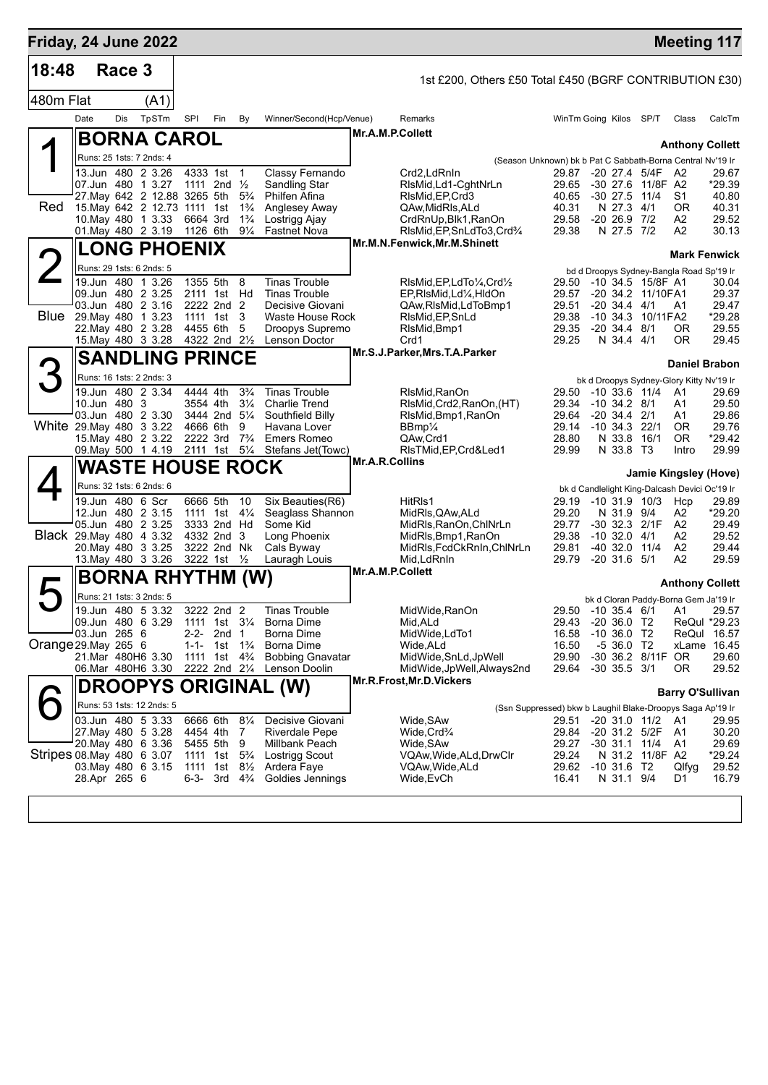| Friday, 24 June 2022      |              |        |                                                              |           |                                               |                                  |                                              |                                                             |                                                            |                                  |                           | <b>Meeting 117</b>                                   |                      |
|---------------------------|--------------|--------|--------------------------------------------------------------|-----------|-----------------------------------------------|----------------------------------|----------------------------------------------|-------------------------------------------------------------|------------------------------------------------------------|----------------------------------|---------------------------|------------------------------------------------------|----------------------|
| 18:48                     |              | Race 3 |                                                              |           |                                               |                                  |                                              | 1st £200, Others £50 Total £450 (BGRF CONTRIBUTION £30)     |                                                            |                                  |                           |                                                      |                      |
| 480m Flat                 |              |        | (A1)                                                         |           |                                               |                                  |                                              |                                                             |                                                            |                                  |                           |                                                      |                      |
|                           | Date         | Dis    | TpSTm                                                        | SPI       | Fin                                           | By                               | Winner/Second(Hcp/Venue)                     | Remarks                                                     | WinTm Going Kilos SP/T                                     |                                  |                           | Class                                                | CalcTm               |
|                           |              |        | <b>BORNA CAROL</b>                                           |           |                                               |                                  |                                              | Mr.A.M.P.Collett                                            |                                                            |                                  |                           |                                                      |                      |
|                           |              |        | Runs: 25 1sts: 7 2nds: 4                                     |           |                                               |                                  |                                              |                                                             | (Season Unknown) bk b Pat C Sabbath-Borna Central Nv'19 Ir |                                  |                           | <b>Anthony Collett</b>                               |                      |
|                           |              |        | 13.Jun 480 2 3.26                                            |           | 4333 1st                                      | $\overline{1}$                   | Classy Fernando                              | Crd2,LdRnIn                                                 | 29.87 -20 27.4 5/4F                                        |                                  |                           | - A2                                                 | 29.67                |
|                           |              |        | 07.Jun 480 1 3.27                                            |           | 1111 2nd $\frac{1}{2}$                        | $5\frac{3}{4}$                   | Sandling Star                                | RIsMid, Ld1-CghtNrLn                                        | 29.65<br>40.65                                             |                                  | -30 27.6 11/8F A2<br>11/4 | S1                                                   | *29.39               |
| Red                       |              |        | 27. May 642 2 12.88 3265 5th<br>15. May 642 2 12.73 1111 1st |           |                                               | $1\frac{3}{4}$                   | Philfen Afina<br>Anglesey Away               | RIsMid, EP, Crd3<br>QAw,MidRIs,ALd                          | 40.31                                                      | $-30$ 27.5<br>N 27.3             | 4/1                       | 0R                                                   | 40.80<br>40.31       |
|                           |              |        | 10. May 480 1 3.33                                           |           | 6664 3rd                                      | $1\frac{3}{4}$                   | Lostrigg Ajay                                | CrdRnUp, Blk1, RanOn                                        | 29.58                                                      | $-20, 26.9$                      | 7/2                       | A2                                                   | 29.52                |
|                           |              |        | 01. May 480 2 3.19                                           |           | 1126 6th                                      | $9\frac{1}{4}$                   | <b>Fastnet Nova</b>                          | RIsMid, EP, SnLdTo3, Crd3/4<br>Mr.M.N.Fenwick, Mr.M.Shinett | 29.38                                                      | N 27.5 7/2                       |                           | A2                                                   | 30.13                |
|                           |              |        | <b>LONG PHOENIX</b>                                          |           |                                               |                                  |                                              |                                                             |                                                            |                                  |                           | <b>Mark Fenwick</b>                                  |                      |
|                           |              |        | Runs: 29 1sts: 6 2nds: 5<br>19.Jun 480 1 3.26                |           | 1355 5th                                      | 8                                | <b>Tinas Trouble</b>                         | RIsMid, EP, LdTo 1/4, Crd1/2                                | 29.50                                                      |                                  | -10 34.5 15/8F A1         | bd d Droopys Sydney-Bangla Road Sp'19 Ir             | 30.04                |
|                           |              |        | 09.Jun 480 2 3.25                                            |           | 2111 1st Hd                                   |                                  | <b>Tinas Trouble</b>                         | EP,RIsMid,Ld¼,HIdOn                                         | 29.57                                                      |                                  | -20 34.2 11/10FA1         |                                                      | 29.37                |
| <b>Blue</b>               |              |        | 03.Jun 480 2 3.16                                            |           | 2222 2nd 2                                    |                                  | Decisive Giovani                             | QAw, RIsMid, LdToBmp1                                       | 29.51                                                      | $-20, 34.4, 4/1$                 |                           | A1                                                   | 29.47                |
|                           |              |        | 29. May 480 1 3.23<br>22. May 480 2 3.28                     |           | 1111 1st 3<br>4455 6th                        | 5                                | Waste House Rock<br>Droopys Supremo          | RIsMid, EP, SnLd<br>RIsMid, Bmp1                            | 29.38<br>29.35                                             | $-20$ 34.4 $8/1$                 | -10 34.3 10/11 FA2        | ΟR                                                   | *29.28<br>29.55      |
|                           |              |        | 15. May 480 3 3.28                                           |           | 4322 2nd 21/ <sub>2</sub>                     |                                  | Lenson Doctor                                | Crd1                                                        | 29.25                                                      | N 34.4 4/1                       |                           | <b>OR</b>                                            | 29.45                |
|                           |              |        | <b>SANDLING PRINCE</b>                                       |           |                                               |                                  |                                              | Mr.S.J.Parker, Mrs.T.A.Parker                               |                                                            |                                  |                           | <b>Daniel Brabon</b>                                 |                      |
| 3                         |              |        | Runs: 16 1sts: 2 2nds: 3                                     |           |                                               |                                  |                                              |                                                             |                                                            |                                  |                           | bk d Droopys Sydney-Glory Kitty Nv'19 Ir             |                      |
|                           |              |        | 19.Jun 480 2 3.34                                            |           | 4444 4th                                      | $3\frac{3}{4}$                   | <b>Tinas Trouble</b>                         | RIsMid, RanOn                                               | 29.50                                                      | $-10$ 33.6 $11/4$                |                           | A1                                                   | 29.69                |
|                           | 10.Jun 480 3 |        | 03.Jun 480 2 3.30                                            |           | 3554 4th<br>3444 2nd 51/4                     | $3\frac{1}{4}$                   | <b>Charlie Trend</b><br>Southfield Billy     | RIsMid, Crd2, RanOn, (HT)<br>RIsMid, Bmp1, RanOn            | 29.34<br>29.64                                             | -10 34.2 8/1<br>$-20, 34.4, 2/1$ |                           | A1<br>Α1                                             | 29.50<br>29.86       |
| White 29. May 480 3 3.22  |              |        |                                                              |           | 4666 6th                                      | 9                                | Havana Lover                                 | BBmp <sup>1</sup> / <sub>4</sub>                            | 29.14 -10 34.3 22/1                                        |                                  |                           | ΟR                                                   | 29.76                |
|                           |              |        | 15. May 480 2 3.22<br>09. May 500 1 4.19                     |           | 2222 3rd<br>2111 1st 51/4                     | $7\frac{3}{4}$                   | <b>Emers Romeo</b><br>Stefans Jet(Towc)      | QAw,Crd1<br>RIsTMid, EP, Crd&Led1                           | 28.80<br>29.99                                             | N 33.8<br>N 33.8 T3              | 16/1                      | <b>OR</b><br>Intro                                   | $*29.42$<br>29.99    |
|                           |              |        | <b>WASTE HOUSE ROCK</b>                                      |           |                                               |                                  |                                              | Mr.A.R.Collins                                              |                                                            |                                  |                           |                                                      |                      |
|                           |              |        | Runs: 32 1sts: 6 2nds: 6                                     |           |                                               |                                  |                                              |                                                             |                                                            |                                  |                           | Jamie Kingsley (Hove)                                |                      |
|                           |              |        | 19.Jun 480 6 Scr                                             |           | 6666 5th                                      | 10                               | Six Beauties(R6)                             | HitRIs1                                                     | 29.19                                                      |                                  | $-10$ 31.9 $10/3$         | bk d Candlelight King-Dalcash Devici Oc'19 Ir<br>Hcp | 29.89                |
|                           |              |        | 12.Jun 480 2 3.15                                            |           | 1111 1st $4\frac{1}{4}$                       |                                  | Seaglass Shannon                             | MidRls, QAw, ALd                                            | 29.20                                                      | N 31.9                           | 9/4                       | А2                                                   | *29.20               |
| Black 29. May 480 4 3.32  |              |        | 05.Jun 480 2 3.25                                            |           | 3333 2nd Hd<br>4332 2nd 3                     |                                  | Some Kid<br>Long Phoenix                     | MidRls, RanOn, ChlNrLn<br>MidRls, Bmp1, RanOn               | 29.77<br>29.38                                             | $-10$ 32.0 $4/1$                 | -30 32.3 2/1F             | A <sub>2</sub><br>A2                                 | 29.49<br>29.52       |
|                           |              |        | 20. May 480 3 3.25                                           |           | 3222 2nd Nk                                   |                                  | Cals Byway                                   | MidRIs, FcdCkRnIn, ChINrLn                                  | 29.81                                                      | -40 32.0 11/4                    |                           | A2                                                   | 29.44                |
|                           |              |        | 13. May 480 3 3.26                                           |           | 3222 1st 1/2                                  |                                  | Lauragh Louis                                | Mid, LdRnIn<br>Mr.A.M.P.Collett                             | 29.79                                                      | $-20$ 31.6 $5/1$                 |                           | A2                                                   | 29.59                |
| $\blacktriangleright$     |              |        | <b>BORNA RHYTHM (W)</b>                                      |           |                                               |                                  |                                              |                                                             |                                                            |                                  |                           | <b>Anthony Collett</b>                               |                      |
|                           |              |        | Runs: 21 1sts: 3 2nds: 5                                     |           |                                               |                                  |                                              |                                                             |                                                            |                                  |                           | bk d Cloran Paddy-Borna Gem Ja'19 Ir                 |                      |
|                           |              |        | 19.Jun 480 5 3.32<br>09.Jun 480 6 3.29                       |           | 3222 2nd 2<br>1111 1st 31/ <sub>4</sub>       |                                  | Tinas Trouble<br><b>Borna Dime</b>           | MidWide, RanOn<br>Mid, ALd                                  | 29.43                                                      | $-20,36.0$ T <sub>2</sub>        |                           | 29.50 -10 35.4 6/1 A1 29.57                          | ReQul *29.23         |
|                           | 03.Jun 265 6 |        |                                                              | $2 - 2 -$ | 2nd <sub>1</sub>                              |                                  | Borna Dime                                   | MidWide,LdTo1                                               | 16.58                                                      | $-10$ 36.0 T2                    |                           |                                                      | ReQui 16.57          |
| Orange 29. May 265 6      |              |        | 21.Mar 480H6 3.30                                            | $1 - 1 -$ | 1st<br>1111 1st 4 <sup>3</sup> / <sub>4</sub> | $1\frac{3}{4}$                   | <b>Borna Dime</b><br><b>Bobbing Gnavatar</b> | Wide,ALd<br>MidWide, SnLd, JpWell                           | 16.50<br>29.90                                             | $-536.0$ T2                      | -30 36.2 8/11F OR         |                                                      | xLame 16.45<br>29.60 |
|                           |              |        | 06.Mar 480H6 3.30                                            |           | 2222 2nd 21/4                                 |                                  | Lenson Doolin                                | MidWide, JpWell, Always2nd                                  | 29.64                                                      | $-30$ 35.5 $3/1$                 |                           | 0R                                                   | 29.52                |
|                           |              |        |                                                              |           |                                               |                                  | <b>DROOPYS ORIGINAL (W)</b>                  | Mr.R.Frost, Mr.D.Vickers                                    |                                                            |                                  |                           | <b>Barry O'Sullivan</b>                              |                      |
|                           |              |        | Runs: 53 1sts: 12 2nds: 5                                    |           |                                               |                                  |                                              |                                                             | (Ssn Suppressed) bkw b Laughil Blake-Droopys Saga Ap'19 Ir |                                  |                           |                                                      |                      |
|                           |              |        | 03.Jun 480 5 3.33                                            |           | 6666 6th                                      | $8\frac{1}{4}$                   | Decisive Giovani                             | Wide, SAw                                                   |                                                            |                                  | 29.51 -20 31.0 11/2 A1    |                                                      | 29.95                |
|                           |              |        | 27. May 480 5 3.28<br>20. May 480 6 3.36                     |           | 4454 4th<br>5455 5th                          | 7<br>9                           | <b>Riverdale Pepe</b><br>Millbank Peach      | Wide, Crd <sup>3</sup> /4<br>Wide, SAw                      | 29.84<br>29.27                                             | $-30$ 31.1 11/4                  | -20 31.2 5/2F             | A1<br>A1                                             | 30.20<br>29.69       |
| Stripes 08 May 480 6 3.07 |              |        |                                                              |           | 1111 1st                                      | $5\frac{3}{4}$                   | Lostrigg Scout                               | VQAw,Wide,ALd,DrwClr                                        | 29.24                                                      |                                  | N 31.2 11/8F A2           |                                                      | $*29.24$             |
|                           | 28.Apr 265 6 |        | 03. May 480 6 3.15                                           | 6-3-      | 1111 1st<br>3rd                               | $8\frac{1}{2}$<br>$4\frac{3}{4}$ | Ardera Faye<br>Goldies Jennings              | VQAw,Wide,ALd                                               | 29.62 -10 31.6 T2<br>16.41                                 | N 31.1 9/4                       |                           | Qlfyg<br>D1                                          | 29.52<br>16.79       |
|                           |              |        |                                                              |           |                                               |                                  |                                              | Wide,EvCh                                                   |                                                            |                                  |                           |                                                      |                      |
|                           |              |        |                                                              |           |                                               |                                  |                                              |                                                             |                                                            |                                  |                           |                                                      |                      |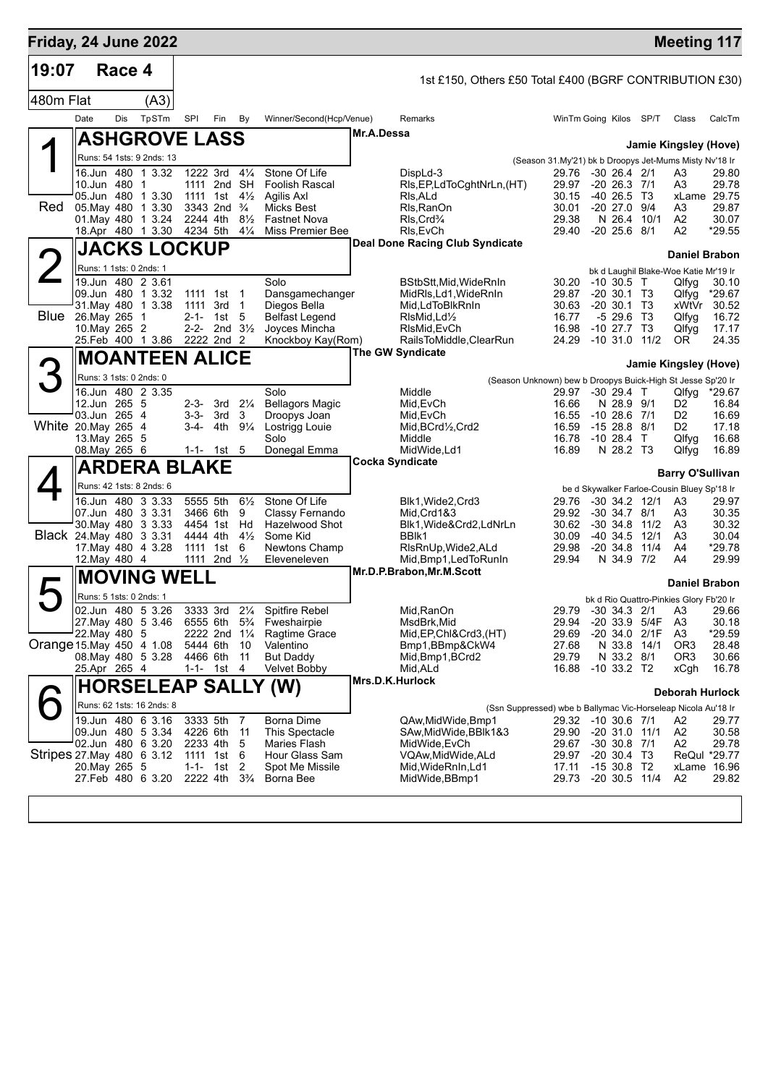| Friday, 24 June 2022       |                         |        |                                                   |                      |                                        |                                  |                                          |                        |                                                           |                                                               |                                                |                 | <b>Meeting 117</b>                                                     |                 |
|----------------------------|-------------------------|--------|---------------------------------------------------|----------------------|----------------------------------------|----------------------------------|------------------------------------------|------------------------|-----------------------------------------------------------|---------------------------------------------------------------|------------------------------------------------|-----------------|------------------------------------------------------------------------|-----------------|
| 19:07                      |                         | Race 4 |                                                   |                      |                                        |                                  |                                          |                        | 1st £150, Others £50 Total £400 (BGRF CONTRIBUTION £30)   |                                                               |                                                |                 |                                                                        |                 |
| 480m Flat                  |                         |        | (A3)                                              |                      |                                        |                                  |                                          |                        |                                                           |                                                               |                                                |                 |                                                                        |                 |
|                            | Date                    | Dis    | TpSTm                                             | <b>SPI</b>           | Fin                                    | By                               | Winner/Second(Hcp/Venue)                 |                        | Remarks                                                   | WinTm Going Kilos SP/T                                        |                                                |                 | Class                                                                  | CalcTm          |
|                            |                         |        | <b>ASHGROVE LASS</b>                              |                      |                                        |                                  |                                          | Mr.A.Dessa             |                                                           |                                                               |                                                |                 |                                                                        |                 |
|                            |                         |        | Runs: 54 1sts: 9 2nds: 13                         |                      |                                        |                                  |                                          |                        |                                                           | (Season 31.My'21) bk b Droopys Jet-Mums Misty Nv'18 Ir        |                                                |                 | <b>Jamie Kingsley (Hove)</b>                                           |                 |
|                            |                         |        | 16.Jun 480 1 3.32                                 |                      | 1222 3rd 41/4                          |                                  | Stone Of Life                            |                        | DispLd-3                                                  | 29.76                                                         | $-30$ 26.4 2/1                                 |                 | A3                                                                     | 29.80           |
|                            | 10.Jun 480 1            |        | 05.Jun 480 1 3.30                                 |                      | 1111 2nd SH<br>1111 1st $4\frac{1}{2}$ |                                  | <b>Foolish Rascal</b><br>Agilis Axl      |                        | RIs, EP, LdToCghtNrLn, (HT)<br>RIs, ALd                   | 29.97<br>30.15                                                | $-20$ 26.3 $7/1$<br>$-40, 26.5$ T <sub>3</sub> |                 | A3<br>xLame 29.75                                                      | 29.78           |
| <b>Red</b>                 |                         |        | 05 May 480 1 3.30                                 |                      | 3343 2nd $\frac{3}{4}$                 |                                  | <b>Micks Best</b>                        |                        | Rls, RanOn                                                | 30.01                                                         | $-20$ 27.0 $9/4$                               |                 | A3                                                                     | 29.87           |
|                            |                         |        | 01. May 480 1 3.24                                | 2244 4th             |                                        | $8\frac{1}{2}$<br>$4\frac{1}{4}$ | <b>Fastnet Nova</b><br>Miss Premier Bee  |                        | RIs, Crd <sup>3</sup> / <sub>4</sub><br>RIs, EvCh         | 29.38<br>29.40                                                | N 26.4<br>$-20$ 25.6 $8/1$                     | 10/1            | A2<br>A2                                                               | 30.07<br>*29.55 |
|                            |                         |        | 18.Apr 480 1 3.30 4234 5th<br><b>JACKS LOCKUP</b> |                      |                                        |                                  |                                          |                        | <b>Deal Done Racing Club Syndicate</b>                    |                                                               |                                                |                 |                                                                        |                 |
|                            |                         |        |                                                   |                      |                                        |                                  |                                          |                        |                                                           |                                                               |                                                |                 | <b>Daniel Brabon</b>                                                   |                 |
| $\angle$                   | Runs: 1 1sts: 0 2nds: 1 |        | 19.Jun 480 2 3.61                                 |                      |                                        |                                  | Solo                                     |                        | BStbStt,Mid,WideRnIn                                      | 30.20                                                         | $-10,30.5$ T                                   |                 | bk d Laughil Blake-Woe Katie Mr'19 Ir<br>Qlfyg                         | 30.10           |
|                            |                         |        | 09.Jun 480 1 3.32                                 |                      | 1111 1st 1                             |                                  | Dansgamechanger                          |                        | MidRls,Ld1,WideRnIn                                       | 29.87                                                         | $-20, 30.1, 73$                                |                 | Qlfyg                                                                  | *29.67          |
| Blue                       | 26. May 265             |        | 31. May 480 1 3.38<br>1                           | 1111<br>$2 - 1 -$    | 3rd<br>1st                             | $\mathbf 1$<br>5                 | Diegos Bella<br><b>Belfast Legend</b>    |                        | Mid,LdToBlkRnIn<br>RIsMid, Ld <sup>1</sup> / <sub>2</sub> | 30.63<br>16.77                                                | $-20, 30.1, T3$<br>$-529.6$ T3                 |                 | xWtVr<br>Qlfyg                                                         | 30.52<br>16.72  |
|                            | 10. May 265 2           |        |                                                   |                      | 2-2- 2nd $3\frac{1}{2}$                |                                  | Joyces Mincha                            |                        | RIsMid, EvCh                                              | 16.98                                                         | $-10$ 27.7 T <sub>3</sub>                      |                 | Qlfyg                                                                  | 17.17           |
|                            |                         |        | 25.Feb 400 1 3.86 2222 2nd 2                      |                      |                                        |                                  | Knockboy Kay(Rom)                        |                        | RailsToMiddle, ClearRun<br><b>The GW Syndicate</b>        | 24.29                                                         | $-10$ 31.0 $11/2$                              |                 | OR.                                                                    | 24.35           |
|                            |                         |        | <b>MOANTEEN ALICE</b>                             |                      |                                        |                                  |                                          |                        |                                                           |                                                               |                                                |                 | Jamie Kingsley (Hove)                                                  |                 |
|                            | Runs: 3 1sts: 0 2nds: 0 |        |                                                   |                      |                                        |                                  |                                          |                        |                                                           | (Season Unknown) bew b Droopys Buick-High St Jesse Sp'20 Ir   |                                                |                 |                                                                        |                 |
|                            | 12.Jun 265 5            |        | 16.Jun 480 2 3.35                                 | 2-3-                 | 3rd                                    | $2\frac{1}{4}$                   | Solo<br><b>Bellagors Magic</b>           |                        | Middle<br>Mid, EvCh                                       | 29.97<br>16.66                                                | -30 29.4 T<br>N 28.9 9/1                       |                 | Qlfyg<br>D <sub>2</sub>                                                | *29.67<br>16.84 |
|                            | 03.Jun 265 4            |        |                                                   | $3 - 3 -$            | 3rd                                    | 3                                | Droopys Joan                             |                        | Mid, EvCh                                                 | 16.55                                                         | $-10$ 28.6 $7/1$                               |                 | D <sub>2</sub>                                                         | 16.69           |
| White 20. May 265 4        | 13. May 265 5           |        |                                                   | 3-4-                 | 4th                                    | $9\frac{1}{4}$                   | Lostrigg Louie<br>Solo                   |                        | Mid, BCrd1/2, Crd2<br>Middle                              | 16.59<br>16.78                                                | $-1528.8$<br>$-1028.4$                         | - 8/1<br>$\top$ | D <sub>2</sub><br>Qlfyg                                                | 17.18<br>16.68  |
|                            | 08. May 265 6           |        |                                                   |                      | 1-1- 1st $5$                           |                                  | Donegal Emma                             |                        | MidWide, Ld1                                              | 16.89                                                         | N 28.2 T3                                      |                 | Qlfyg                                                                  | 16.89           |
|                            |                         |        | <b>ARDERA BLAKE</b>                               |                      |                                        |                                  |                                          | <b>Cocka Syndicate</b> |                                                           |                                                               |                                                |                 | <b>Barry O'Sullivan</b>                                                |                 |
|                            |                         |        | Runs: 42 1sts: 8 2nds: 6                          |                      |                                        |                                  |                                          |                        |                                                           |                                                               |                                                |                 | be d Skywalker Farloe-Cousin Bluey Sp'18 Ir                            |                 |
|                            |                         |        | 16.Jun 480 3 3.33                                 | 5555 5th             |                                        | $6\frac{1}{2}$                   | Stone Of Life                            |                        | Blk1, Wide2, Crd3                                         | 29.76                                                         | $-30$ 34.2 12/1                                |                 | A3                                                                     | 29.97           |
|                            |                         |        | 07.Jun 480 3 3.31<br>30 May 480 3 3 33            | 3466 6th<br>4454 1st |                                        | 9<br>Hd                          | Classy Fernando<br>Hazelwood Shot        |                        | Mid, Crd1&3<br>Blk1, Wide&Crd2, LdNrLn                    | 29.92<br>30.62                                                | $-30$ 34.7 $8/1$<br>$-30, 34.8$                | 11/2            | A3<br>A3                                                               | 30.35<br>30.32  |
| Black 24. May 480 3 3.31   |                         |        |                                                   | 4444 4th             |                                        | $4\frac{1}{2}$                   | Some Kid                                 |                        | BBIK1                                                     | 30.09                                                         | $-40, 34.5$                                    | 12/1            | A3                                                                     | 30.04           |
|                            | 12. May 480 4           |        | 17. May 480 4 3.28                                | 1111 1st             | 1111 2nd $\frac{1}{2}$                 | 6                                | Newtons Champ<br>Eleveneleven            |                        | RIsRnUp, Wide 2, ALd<br>Mid,Bmp1,LedToRunIn               | 29.98<br>29.94                                                | $-20, 34.8$<br>N 34.9                          | 11/4<br>7/2     | A4<br>A4                                                               | *29.78<br>29.99 |
|                            |                         |        | <b>MOVING WELL</b>                                |                      |                                        |                                  |                                          |                        | Mr.D.P.Brabon, Mr.M.Scott                                 |                                                               |                                                |                 |                                                                        |                 |
|                            | Runs: 5 1sts: 0 2nds: 1 |        |                                                   |                      |                                        |                                  |                                          |                        |                                                           |                                                               |                                                |                 | <b>Daniel Brabon</b>                                                   |                 |
|                            |                         |        | 02.Jun 480 5 3.26                                 |                      | 3333 3rd 21/4                          |                                  | <b>Spitfire Rebel</b>                    |                        | Mid, RanOn                                                |                                                               |                                                |                 | bk d Rio Quattro-Pinkies Glory Fb'20 Ir<br>29.79 -30 34.3 2/1 A3 29.66 |                 |
|                            |                         |        | 27. May 480 5 3.46                                |                      | 6555 6th 5 <sup>3</sup> / <sub>4</sub> |                                  | Fweshairpie                              |                        | MsdBrk, Mid                                               | 29.94                                                         | $-20, 33.9$                                    | 5/4F            | A <sub>3</sub>                                                         | 30.18           |
| Orange 15 May 450 4 1.08   | 22. May 480 5           |        |                                                   | 5444 6th             | 2222 2nd 11/4                          | 10                               | Ragtime Grace<br>Valentino               |                        | Mid, EP, Chl&Crd3, (HT)<br>Bmp1,BBmp&CkW4                 | 29.69<br>27.68                                                | -20 34.0 2/1F<br>N 33.8 14/1                   |                 | A <sub>3</sub><br>OR <sub>3</sub>                                      | *29.59<br>28.48 |
|                            |                         |        | 08. May 480 5 3.28                                | 4466 6th             |                                        | -11                              | <b>But Daddy</b>                         |                        | Mid, Bmp1, BCrd2                                          | 29.79                                                         | N 33.2 8/1                                     |                 | OR <sub>3</sub>                                                        | 30.66           |
|                            | 25.Apr 265 4            |        |                                                   |                      | 1-1- 1st 4                             |                                  | Velvet Bobby                             | Mrs.D.K.Hurlock        | Mid, ALd                                                  | 16.88                                                         | $-10$ 33.2 T2                                  |                 | xCgh                                                                   | 16.78           |
|                            |                         |        |                                                   |                      |                                        |                                  | <b>HORSELEAP SALLY (W)</b>               |                        |                                                           |                                                               |                                                |                 | Deborah Hurlock                                                        |                 |
|                            |                         |        | Runs: 62 1sts: 16 2nds: 8                         |                      |                                        |                                  |                                          |                        |                                                           | (Ssn Suppressed) wbe b Ballymac Vic-Horseleap Nicola Au'18 Ir |                                                |                 |                                                                        |                 |
|                            |                         |        | 19.Jun 480 6 3.16<br>09.Jun 480 5 3.34            | 3333 5th<br>4226 6th |                                        | 7<br>11                          | Borna Dime<br>This Spectacle             |                        | QAw,MidWide,Bmp1<br>SAw,MidWide,BBlk1&3                   | 29.32 -10 30.6 7/1<br>29.90                                   | -20 31.0 11/1                                  |                 | A2<br>A2                                                               | 29.77<br>30.58  |
|                            |                         |        | 02.Jun 480 6 3.20                                 | 2233 4th             |                                        | 5                                | Maries Flash                             |                        | MidWide, EvCh                                             | 29.67                                                         | $-30$ 30.8 $7/1$                               |                 | A2                                                                     | 29.78           |
| Stripes 27. May 480 6 3.12 | 20. May 265 5           |        |                                                   | 1111 1st<br>1-1-     | 1st                                    | 6<br>2                           | <b>Hour Glass Sam</b><br>Spot Me Missile |                        | VQAw,MidWide,ALd<br>Mid, WideRnIn, Ld1                    | 29.97<br>17.11                                                | $-20$ 30.4 T3<br>$-1530.8$ T2                  |                 | ReQul *29.77<br>xLame 16.96                                            |                 |
|                            |                         |        | 27.Feb 480 6 3.20                                 | 2222 4th             |                                        | $3\frac{3}{4}$                   | Borna Bee                                |                        | MidWide, BBmp1                                            | 29.73                                                         | -20 30.5 11/4                                  |                 | A2                                                                     | 29.82           |
|                            |                         |        |                                                   |                      |                                        |                                  |                                          |                        |                                                           |                                                               |                                                |                 |                                                                        |                 |
|                            |                         |        |                                                   |                      |                                        |                                  |                                          |                        |                                                           |                                                               |                                                |                 |                                                                        |                 |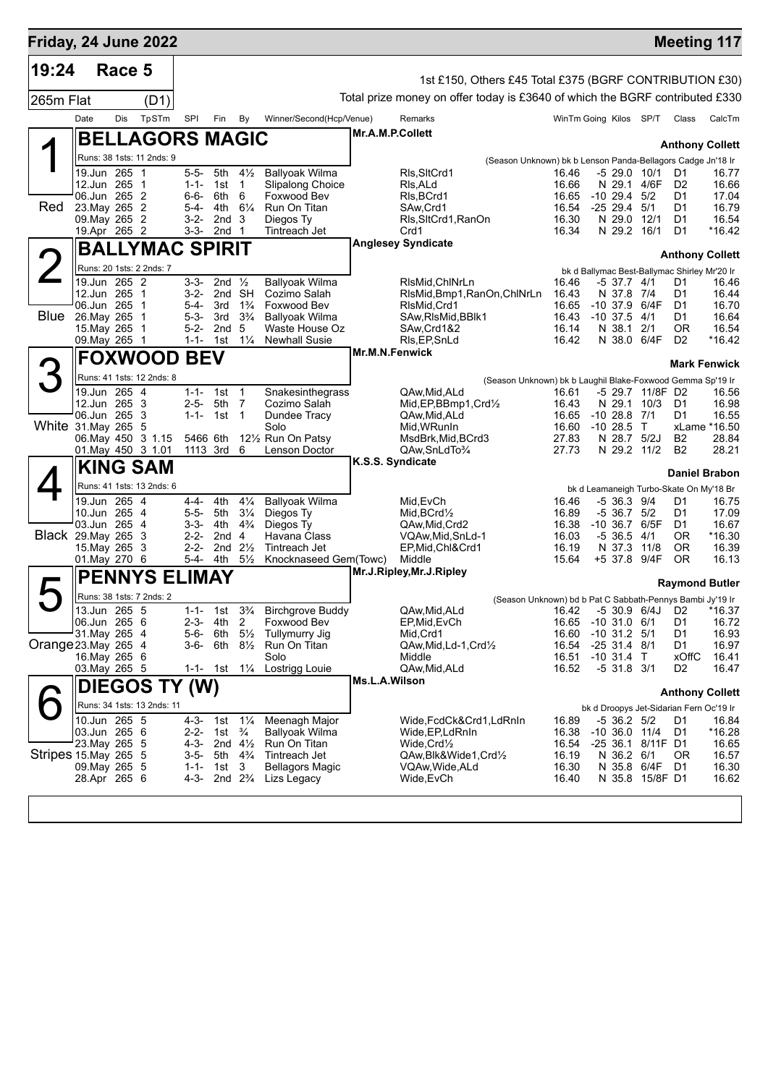| Friday, 24 June 2022  |                                            |                |       |                        |                                                       |                                  |                                         |                  |                                                                              |                         |                                      |                    |                                               | <b>Meeting 117</b>     |
|-----------------------|--------------------------------------------|----------------|-------|------------------------|-------------------------------------------------------|----------------------------------|-----------------------------------------|------------------|------------------------------------------------------------------------------|-------------------------|--------------------------------------|--------------------|-----------------------------------------------|------------------------|
| 19:24                 |                                            | Race 5         |       |                        |                                                       |                                  |                                         |                  |                                                                              |                         |                                      |                    |                                               |                        |
|                       |                                            |                |       |                        |                                                       |                                  |                                         |                  | 1st £150, Others £45 Total £375 (BGRF CONTRIBUTION £30)                      |                         |                                      |                    |                                               |                        |
| 265m Flat             |                                            |                | (D1)  |                        |                                                       |                                  |                                         |                  | Total prize money on offer today is £3640 of which the BGRF contributed £330 |                         |                                      |                    |                                               |                        |
|                       | Date                                       | Dis            | TpSTm | <b>SPI</b>             | Fin                                                   | By                               | Winner/Second(Hcp/Venue)                |                  | Remarks                                                                      | WinTm Going Kilos SP/T  |                                      |                    | Class                                         | CalcTm                 |
|                       | <b>BELLAGORS MAGIC</b>                     |                |       |                        |                                                       |                                  |                                         | Mr.A.M.P.Collett |                                                                              |                         |                                      |                    |                                               | <b>Anthony Collett</b> |
|                       | Runs: 38 1sts: 11 2nds: 9                  |                |       |                        |                                                       |                                  |                                         |                  | (Season Unknown) bk b Lenson Panda-Bellagors Cadge Jn'18 Ir                  |                         |                                      |                    |                                               |                        |
|                       | 19.Jun 265 1                               |                |       | $5 - 5 -$              | 5th                                                   | $4\frac{1}{2}$                   | <b>Ballyoak Wilma</b>                   |                  | RIs, SItCrd1                                                                 | 16.46                   | -5 29.0 10/1                         |                    | D1                                            | 16.77                  |
|                       | 12.Jun 265 1<br>06.Jun 265 2               |                |       | $1 - 1 -$              | 1st                                                   | 1                                | Slipalong Choice                        |                  | RIs, ALd                                                                     | 16.66                   |                                      | N 29.1 4/6F        | D <sub>2</sub>                                | 16.66                  |
| Red                   | 23. May 265 2                              |                |       | 6-6-<br>5-4-           | 6th<br>4th                                            | 6<br>$6\frac{1}{4}$              | Foxwood Bev<br>Run On Titan             |                  | RIs, BCrd1<br>SAw, Crd1                                                      | 16.65<br>16.54          | $-10, 29.4, 5/2$<br>$-25$ 29.4 $5/1$ |                    | D1<br>D1                                      | 17.04<br>16.79         |
|                       | 09. May 265 2                              |                |       | 3-2-                   | 2nd                                                   | -3                               | Diegos Ty                               |                  | Rls, SltCrd1, RanOn                                                          | 16.30                   | N 29.0 12/1                          |                    | D1                                            | 16.54                  |
|                       | 19.Apr 265 2                               |                |       | $3 - 3 -$              | 2nd <sub>1</sub>                                      |                                  | Tintreach Jet                           |                  | Crd1<br><b>Anglesey Syndicate</b>                                            | 16.34                   | N 29.2 16/1                          |                    | D1                                            | *16.42                 |
|                       | <b>BALLYMAC SPIRIT</b>                     |                |       |                        |                                                       |                                  |                                         |                  |                                                                              |                         |                                      |                    |                                               | <b>Anthony Collett</b> |
|                       | Runs: 20 1sts: 2 2nds: 7                   |                |       |                        |                                                       |                                  |                                         |                  |                                                                              |                         |                                      |                    | bk d Ballymac Best-Ballymac Shirley Mr'20 Ir  |                        |
|                       | 19.Jun 265 2<br>12.Jun 265 1               |                |       | 3-3-<br>$3 - 2 -$      | 2nd $\frac{1}{2}$<br>2nd SH                           |                                  | <b>Ballyoak Wilma</b><br>Cozimo Salah   |                  | RIsMid, ChINrLn<br>RIsMid, Bmp1, RanOn, ChINrLn                              | 16.46<br>16.43          | -5 37.7 4/1<br>N 37.8 7/4            |                    | D1<br>D1                                      | 16.46<br>16.44         |
|                       | 06.Jun 265 1                               |                |       | 5-4-                   | 3rd                                                   | $1\frac{3}{4}$                   | Foxwood Bev                             |                  | RIsMid, Crd1                                                                 | 16.65                   | $-10, 37.9$                          | 6/4F               | D1                                            | 16.70                  |
| Blue                  | 26. May 265 1                              |                |       | $5 - 3 -$              | 3rd                                                   | $3\frac{3}{4}$                   | <b>Ballyoak Wilma</b>                   |                  | SAw, RIsMid, BBIk1                                                           | 16.43                   | $-10, 37.5$                          | 4/1                | D1                                            | 16.64                  |
|                       | 15. May 265 1<br>09. May 265 1             |                |       | $5 - 2 -$<br>$1 - 1 -$ | 2nd<br>1st                                            | 5<br>$1\frac{1}{4}$              | Waste House Oz<br><b>Newhall Susie</b>  |                  | SAw,Crd1&2<br>RIs, EP, SnLd                                                  | 16.14<br>16.42          | N 38.1                               | 2/1<br>N 38.0 6/4F | <b>OR</b><br>D <sub>2</sub>                   | 16.54<br>*16.42        |
|                       | <b>FOXWOOD</b>                             |                |       | <b>BEV</b>             |                                                       |                                  |                                         | Mr.M.N.Fenwick   |                                                                              |                         |                                      |                    |                                               |                        |
|                       |                                            |                |       |                        |                                                       |                                  |                                         |                  |                                                                              |                         |                                      |                    |                                               | <b>Mark Fenwick</b>    |
|                       | Runs: 41 1sts: 12 2nds: 8<br>19.Jun 265 4  |                |       | $1 - 1 - 1$ st         |                                                       | $\overline{1}$                   | Snakesinthegrass                        |                  | (Season Unknown) bk b Laughil Blake-Foxwood Gemma Sp'19 Ir<br>QAw,Mid,ALd    | 16.61                   |                                      | -5 29.7 11/8F D2   |                                               | 16.56                  |
|                       | 12.Jun 265 3                               |                |       | $2 - 5 -$              | 5th                                                   | $\overline{7}$                   | Cozimo Salah                            |                  | Mid, EP, BBmp1, Crd1/2                                                       | 16.43                   |                                      | N 29.1 10/3        | D1                                            | 16.98                  |
|                       | 06.Jun 265 3                               |                |       | $1 - 1 -$              | 1st 1                                                 |                                  | Dundee Tracy                            |                  | QAw,Mid,ALd                                                                  | 16.65                   | $-10$ 28.8 $7/1$                     |                    | D1                                            | 16.55                  |
|                       | White 31. May 265 5<br>06. May 450 3 1.15  |                |       | 5466 6th               |                                                       |                                  | Solo<br>12½ Run On Patsy                |                  | Mid, WRunIn<br>MsdBrk, Mid, BCrd3                                            | 16.60 -10 28.5<br>27.83 | N 28.7 5/2J                          | $\top$             | B2                                            | xLame *16.50<br>28.84  |
|                       | 01. May 450 3 1.01                         |                |       | 1113 3rd               |                                                       | 6                                | Lenson Doctor                           |                  | QAw, SnLdTo%                                                                 | 27.73                   |                                      | N 29.2 11/2        | B <sub>2</sub>                                | 28.21                  |
|                       | <b>KING SAM</b>                            |                |       |                        |                                                       |                                  |                                         | K.S.S. Syndicate |                                                                              |                         |                                      |                    | <b>Daniel Brabon</b>                          |                        |
|                       | Runs: 41 1sts: 13 2nds: 6                  |                |       |                        |                                                       |                                  |                                         |                  |                                                                              |                         |                                      |                    | bk d Leamaneigh Turbo-Skate On My'18 Br       |                        |
|                       | 19.Jun 265 4                               |                |       | $4 - 4 -$              | 4th                                                   | $4\frac{1}{4}$                   | <b>Ballyoak Wilma</b>                   |                  | Mid, EvCh                                                                    | 16.46                   | -5 36.3 9/4                          |                    | D1                                            | 16.75                  |
|                       | 10.Jun 265 4<br>03.Jun 265                 | $\overline{4}$ |       | $5 - 5 -$<br>$3 - 3 -$ | 5th<br>4th                                            | $3\frac{1}{4}$<br>$4\frac{3}{4}$ | Diegos Ty<br>Diegos Ty                  |                  | Mid, BCrd1/2                                                                 | 16.89<br>16.38          | -5 36.7 5/2<br>$-10, 36.7$           | 6/5F               | D1<br>D1                                      | 17.09<br>16.67         |
|                       | Black 29. May 265 3                        |                |       | $2 - 2 -$              | 2nd                                                   | $\overline{4}$                   | Havana Class                            |                  | QAw,Mid,Crd2<br>VQAw, Mid, SnLd-1                                            | 16.03                   | $-5, 36.5$                           | 4/1                | 0R                                            | *16.30                 |
|                       | 15. May 265 3                              |                |       | $2 - 2 -$              |                                                       | 2nd $2\frac{1}{2}$               | Tintreach Jet                           |                  | EP, Mid, Chl&Crd1                                                            | 16.19                   | N 37.3                               | 11/8               | 0R                                            | 16.39                  |
|                       | 01.May 270 6                               |                |       | 5-4-                   | 4th                                                   | $5\frac{1}{2}$                   | Knocknaseed Gem(Towc)                   |                  | Middle<br>Mr.J.Ripley, Mr.J.Ripley                                           | 15.64                   | +5 37.8 9/4F                         |                    | OR.                                           | 16.13                  |
|                       | <b>PENNYS</b>                              |                |       | <b>ELIMAY</b>          |                                                       |                                  |                                         |                  |                                                                              |                         |                                      |                    |                                               | <b>Raymond Butler</b>  |
|                       | Runs: 38 1sts: 7 2nds: 2                   |                |       |                        |                                                       |                                  |                                         |                  | (Season Unknown) bd b Pat C Sabbath-Pennys Bambi Jy'19 Ir                    |                         |                                      |                    |                                               |                        |
|                       | 13.Jun 265 5<br>06.Jun 265 6               |                |       | $1 - 1 -$<br>$2 - 3 -$ | 1st<br>4th                                            | $3\frac{3}{4}$<br>2              | <b>Birchgrove Buddy</b><br>Foxwood Bev  |                  | QAw, Mid, ALd<br>EP, Mid, EvCh                                               | 16.42<br>16.65          | $-530.96/4J$<br>$-10, 31.0$          | 6/1                | D <sub>2</sub><br>D1                          | *16.37<br>16.72        |
|                       | 31. May 265 4                              |                |       | $5 - 6 -$              | 6th                                                   | $5\frac{1}{2}$                   | Tullymurry Jig                          |                  | Mid, Crd1                                                                    | 16.60                   | $-10$ 31.2 $5/1$                     |                    | D1                                            | 16.93                  |
| Orange 23. May 265 4  |                                            |                |       | $3-6-$                 | 6th                                                   | $8\frac{1}{2}$                   | Run On Titan                            |                  | QAw, Mid, Ld-1, Crd1/2                                                       | 16.54                   | $-2531.48/1$                         |                    | D1                                            | 16.97                  |
|                       | 16. May 265 6<br>03. May 265 5             |                |       | 1-1- 1st               |                                                       | $1\frac{1}{4}$                   | Solo<br>Lostrigg Louie                  |                  | Middle<br>QAw, Mid, ALd                                                      | 16.51<br>16.52          | $-10$ 31.4 T<br>$-5$ 31.8 3/1        |                    | xOffC<br>D <sub>2</sub>                       | 16.41<br>16.47         |
|                       | <b>DIEGOS TY</b>                           |                |       | (W)                    |                                                       |                                  |                                         | Ms.L.A.Wilson    |                                                                              |                         |                                      |                    |                                               |                        |
|                       |                                            |                |       |                        |                                                       |                                  |                                         |                  |                                                                              |                         |                                      |                    |                                               | <b>Anthony Collett</b> |
|                       | Runs: 34 1sts: 13 2nds: 11<br>10.Jun 265 5 |                |       | $4 - 3 -$              | 1st                                                   | $1\frac{1}{4}$                   | Meenagh Major                           |                  | Wide,FcdCk&Crd1,LdRnIn                                                       | 16.89                   | $-5$ 36.2 $5/2$                      |                    | bk d Droopys Jet-Sidarian Fern Oc'19 Ir<br>D1 | 16.84                  |
|                       | 03.Jun 265 6                               |                |       | $2 - 2 -$              | 1st                                                   | $\frac{3}{4}$                    | <b>Ballyoak Wilma</b>                   |                  | Wide, EP, LdRnIn                                                             | 16.38                   |                                      | $-10$ 36.0 $11/4$  | D1                                            | *16.28                 |
|                       | 23. May 265 5                              |                |       | $4 - 3 -$              |                                                       | 2nd $4\frac{1}{2}$               | Run On Titan                            |                  | Wide,Crd½                                                                    | 16.54                   |                                      | -25 36.1 8/11F D1  |                                               | 16.65                  |
| Stripes 15. May 265 5 | 09. May 265 5                              |                |       | $3-5-$<br>$1 - 1 -$    | 5th 4 <sup>3</sup> / <sub>4</sub><br>1st <sub>3</sub> |                                  | Tintreach Jet<br><b>Bellagors Magic</b> |                  | QAw,Blk&Wide1,Crd½<br>VQAw, Wide, ALd                                        | 16.19<br>16.30          | N 36.2 6/1                           | N 35.8 6/4F        | 0R<br>D1                                      | 16.57<br>16.30         |
|                       | 28.Apr 265 6                               |                |       | $4 - 3 -$              | 2nd $2\frac{3}{4}$                                    |                                  | Lizs Legacy                             |                  | Wide,EvCh                                                                    | 16.40                   |                                      | N 35.8 15/8F D1    |                                               | 16.62                  |
|                       |                                            |                |       |                        |                                                       |                                  |                                         |                  |                                                                              |                         |                                      |                    |                                               |                        |
|                       |                                            |                |       |                        |                                                       |                                  |                                         |                  |                                                                              |                         |                                      |                    |                                               |                        |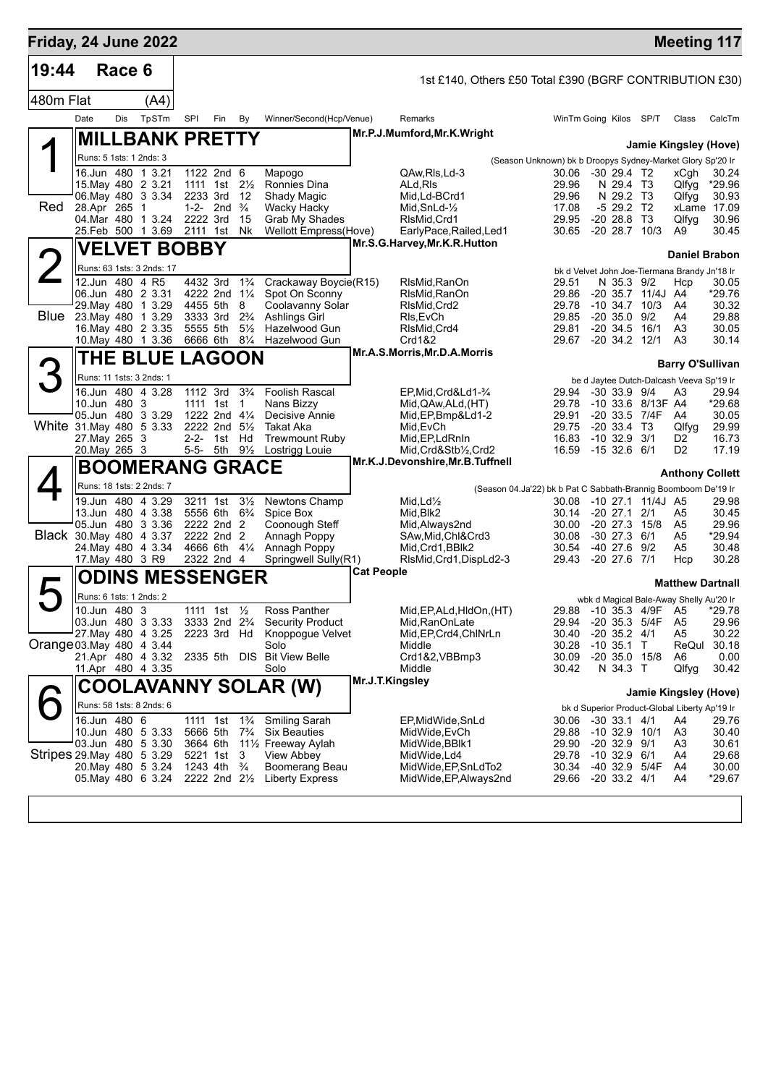| Friday, 24 June 2022       |                                |        |                                              |                                      |                                                                    |                               |                                                                               |                   |                                                         |                                                                |                                           |                                       |                   | <b>Meeting 117</b>                                                       |                 |
|----------------------------|--------------------------------|--------|----------------------------------------------|--------------------------------------|--------------------------------------------------------------------|-------------------------------|-------------------------------------------------------------------------------|-------------------|---------------------------------------------------------|----------------------------------------------------------------|-------------------------------------------|---------------------------------------|-------------------|--------------------------------------------------------------------------|-----------------|
| 19:44                      |                                | Race 6 |                                              |                                      |                                                                    |                               |                                                                               |                   | 1st £140, Others £50 Total £390 (BGRF CONTRIBUTION £30) |                                                                |                                           |                                       |                   |                                                                          |                 |
| 480m Flat                  |                                |        | (A4)                                         |                                      |                                                                    |                               |                                                                               |                   |                                                         |                                                                |                                           |                                       |                   |                                                                          |                 |
|                            | Date                           | Dis    | TpSTm                                        | SPI                                  | Fin                                                                | By                            | Winner/Second(Hcp/Venue)                                                      |                   | Remarks                                                 |                                                                | WinTm Going Kilos SP/T                    |                                       |                   | Class                                                                    | CalcTm          |
|                            |                                |        | <b>MILLBANK PRETTY</b>                       |                                      |                                                                    |                               |                                                                               |                   | Mr.P.J.Mumford, Mr.K. Wright                            |                                                                |                                           |                                       |                   | Jamie Kingsley (Hove)                                                    |                 |
|                            |                                |        | Runs: 5 1sts: 1 2nds: 3                      |                                      |                                                                    |                               |                                                                               |                   |                                                         | (Season Unknown) bk b Droopys Sydney-Market Glory Sp'20 Ir     |                                           |                                       |                   |                                                                          |                 |
|                            |                                |        | 16.Jun 480 1 3.21                            |                                      | 1122 2nd 6                                                         |                               | Mapogo                                                                        |                   | QAw, RIs, Ld-3                                          |                                                                | 30.06                                     | $-30$ 29.4 T <sub>2</sub>             |                   | xCgh                                                                     | 30.24           |
|                            |                                |        | 15. May 480 2 3.21<br>06. May 480 3 3.34     |                                      | 1111 1st $2\frac{1}{2}$<br>2233 3rd                                | 12                            | Ronnies Dina<br>Shady Magic                                                   |                   | ALd,RIs<br>Mid, Ld-BCrd1                                |                                                                | 29.96<br>29.96                            | N 29.4 T3<br>N 29.2 T3                |                   | Qlfyg<br>Qlfyg                                                           | *29.96<br>30.93 |
| Red                        | 28.Apr 265 1                   |        |                                              |                                      | 1-2- 2nd $\frac{3}{4}$                                             |                               | <b>Wacky Hacky</b>                                                            |                   | Mid, SnLd-1/2                                           |                                                                | 17.08                                     | $-529.2$ T2                           |                   |                                                                          | xLame 17.09     |
|                            |                                |        | 04. Mar 480 1 3.24<br>25.Feb 500 1 3.69      | 2222 3rd<br>2111 1st                 |                                                                    | 15<br><b>Nk</b>               | Grab My Shades<br>Wellott Empress(Hove)                                       |                   | RIsMid, Crd1<br>EarlyPace, Railed, Led1                 |                                                                | 29.95<br>30.65                            | $-20$ 28.8 T3                         | $-20$ 28.7 $10/3$ | Qlfyg<br>A9                                                              | 30.96<br>30.45  |
|                            |                                |        | <b>VELVET BOBBY</b>                          |                                      |                                                                    |                               |                                                                               |                   | Mr.S.G.Harvey, Mr.K.R.Hutton                            |                                                                |                                           |                                       |                   |                                                                          |                 |
|                            |                                |        |                                              |                                      |                                                                    |                               |                                                                               |                   |                                                         |                                                                |                                           |                                       |                   | <b>Daniel Brabon</b>                                                     |                 |
|                            |                                |        | Runs: 63 1sts: 3 2nds: 17<br>12.Jun 480 4 R5 |                                      | 4432 3rd                                                           | $1\frac{3}{4}$                | Crackaway Boycie(R15)                                                         |                   | RIsMid, RanOn                                           |                                                                | 29.51                                     | N 35.3 9/2                            |                   | bk d Velvet John Joe-Tiermana Brandy Jn'18 Ir<br>Hcp                     | 30.05           |
|                            |                                |        | 06.Jun 480 2 3.31                            |                                      | 4222 2nd 11/4                                                      |                               | Spot On Sconny                                                                |                   | RIsMid.RanOn                                            |                                                                | 29.86                                     |                                       | -20 35.7 11/4J A4 |                                                                          | *29.76          |
| <b>Blue</b>                |                                |        | 29. May 480 1 3.29<br>23. May 480 1 3.29     |                                      | 4455 5th<br>3333 3rd                                               | 8<br>$2\frac{3}{4}$           | Coolavanny Solar<br>Ashlings Girl                                             |                   | RIsMid, Crd2<br>RIs, EvCh                               |                                                                | 29.78<br>29.85                            | $-20$ 35.0 $9/2$                      | $-10, 34.7, 10/3$ | A4<br>A4                                                                 | 30.32<br>29.88  |
|                            |                                |        | 16. May 480 2 3.35                           |                                      | 5555 5th                                                           | $5\frac{1}{2}$                | Hazelwood Gun                                                                 |                   | RIsMid, Crd4                                            |                                                                | 29.81                                     | $-20$ 34.5 16/1                       |                   | A3                                                                       | 30.05           |
|                            |                                |        | 10. May 480 1 3.36                           |                                      | 6666 6th                                                           | $8\frac{1}{4}$                | Hazelwood Gun                                                                 |                   | Crd1&2                                                  |                                                                | 29.67                                     | $-20$ 34.2 $12/1$                     |                   | A3                                                                       | 30.14           |
|                            |                                |        | <b>THE BLUE LAGOON</b>                       |                                      |                                                                    |                               |                                                                               |                   | Mr.A.S.Morris, Mr.D.A.Morris                            |                                                                |                                           |                                       |                   | <b>Barry O'Sullivan</b>                                                  |                 |
|                            |                                |        | Runs: 11 1sts: 3 2nds: 1                     |                                      |                                                                    |                               |                                                                               |                   |                                                         |                                                                |                                           |                                       |                   | be d Jaytee Dutch-Dalcash Veeva Sp'19 Ir                                 |                 |
|                            | 10.Jun 480 3                   |        | 16.Jun 480 4 3.28                            |                                      | 1112 3rd<br>1111 1st                                               | $3\frac{3}{4}$<br>$\mathbf 1$ | <b>Foolish Rascal</b><br>Nans Bizzy                                           |                   | EP, Mid, Crd&Ld1-3/4<br>Mid, QAw, ALd, (HT)             |                                                                | 29.94<br>29.78                            | $-30$ 33.9 $9/4$                      | -10 33.6 8/13F A4 | A3                                                                       | 29.94<br>*29.68 |
|                            |                                |        | 05.Jun 480 3 3.29                            |                                      | 1222 2nd $4\frac{1}{4}$                                            |                               | Decisive Annie                                                                |                   | Mid, EP, Bmp&Ld1-2                                      |                                                                | 29.91                                     |                                       | -20 33.5 7/4F     | A4                                                                       | 30.05           |
| White 31.May 480 5 3.33    |                                |        |                                              |                                      | 2222 2nd $5\frac{1}{2}$                                            |                               | Takat Aka                                                                     |                   | Mid, EvCh                                               |                                                                | 29.75                                     | $-20$ 33.4 T3                         |                   | Qlfyg                                                                    | 29.99           |
|                            | 27. May 265 3<br>20. May 265 3 |        |                                              |                                      | 2-2- 1st Hd<br>5-5- 5th 9½                                         |                               | <b>Trewmount Ruby</b><br>Lostrigg Louie                                       |                   | Mid, EP, LdRnIn<br>Mid, Crd&Stb1/2, Crd2                |                                                                | 16.83<br>16.59                            | $-10$ 32.9 3/1<br>$-1532.661$         |                   | D <sub>2</sub><br>D <sub>2</sub>                                         | 16.73<br>17.19  |
|                            |                                |        | <b>BOOMERANG GRACE</b>                       |                                      |                                                                    |                               |                                                                               |                   | Mr.K.J.Devonshire, Mr.B.Tuffnell                        |                                                                |                                           |                                       |                   |                                                                          |                 |
|                            |                                |        | Runs: 18 1sts: 2 2nds: 7                     |                                      |                                                                    |                               |                                                                               |                   |                                                         | (Season 04.Ja'22) bk b Pat C Sabbath-Brannig Boomboom De'19 Ir |                                           |                                       |                   | <b>Anthony Collett</b>                                                   |                 |
|                            |                                |        | 19.Jun 480 4 3.29                            |                                      | 3211 1st                                                           | $3\frac{1}{2}$                | Newtons Champ                                                                 |                   | Mid, $Ld\frac{1}{2}$                                    |                                                                | 30.08                                     |                                       | -10 27.1 11/4J A5 |                                                                          | 29.98           |
|                            |                                |        | 13.Jun 480 4 3.38                            |                                      | 5556 6th                                                           | $6\frac{3}{4}$                | Spice Box                                                                     |                   | Mid, Blk2                                               |                                                                | 30.14                                     | $-20\,27.1$                           | 2/1               | A5                                                                       | 30.45           |
| Black 30. May 480 4 3.37   |                                |        | 05.Jun 480 3 3.36                            |                                      | 2222 2nd 2<br>2222 2nd 2                                           |                               | Coonough Steff<br>Annagh Poppy                                                |                   | Mid, Always 2nd<br>SAw, Mid, Chl&Crd3                   |                                                                | 30.00<br>30.08                            | $-20$ 27.3 $15/8$<br>$-30$ 27.3 $6/1$ |                   | A5<br>A5                                                                 | 29.96<br>*29.94 |
|                            |                                |        | 24. May 480 4 3.34                           |                                      | 4666 6th 41/4                                                      |                               | Annagh Poppy                                                                  |                   | Mid, Crd1, BBlk2                                        |                                                                | 30.54                                     | -40 27.6 9/2                          |                   | A5                                                                       | 30.48           |
|                            | 17. May 480 3 R9               |        |                                              |                                      | 2322 2nd 4                                                         |                               | Springwell Sully(R1)                                                          | <b>Cat People</b> | RIsMid, Crd1, DispLd2-3                                 |                                                                | 29.43                                     | $-20$ 27.6 $7/1$                      |                   | Hcp                                                                      | 30.28           |
|                            |                                |        | <b>ODINS MESSENGER</b>                       |                                      |                                                                    |                               |                                                                               |                   |                                                         |                                                                |                                           |                                       |                   | <b>Matthew Dartnall</b>                                                  |                 |
|                            | $10.$ Jun 480 3                |        | Runs: 6 1sts: 1 2nds: 2                      |                                      |                                                                    |                               |                                                                               |                   |                                                         |                                                                |                                           |                                       |                   | wbk d Magical Bale-Away Shelly Au'20 Ir<br>29.88 -10 35.3 4/9F A5 *29.78 |                 |
|                            |                                |        | 03.Jun 480 3 3.33                            |                                      | 1111 1st 1/ <sub>2</sub><br>3333 2nd 2 <sup>3</sup> / <sub>4</sub> |                               | Ross Panther<br><b>Security Product</b>                                       |                   | Mid, EP, ALd, HIdOn, (HT)<br>Mid, RanOnLate             |                                                                | 29.94 - 20 35.3 5/4F                      |                                       |                   | A5                                                                       | 29.96           |
|                            |                                |        | 27 May 480 4 3.25                            |                                      | 2223 3rd Hd                                                        |                               | Knoppogue Velvet                                                              |                   | Mid, EP, Crd4, ChlNrLn                                  |                                                                | 30.40                                     | $-20$ 35.2 $4/1$                      |                   | A5                                                                       | 30.22           |
| Orange 03. May 480 4 3.44  |                                |        | 21.Apr 480 4 3.32                            |                                      |                                                                    |                               | Solo<br>2335 5th DIS Bit View Belle                                           |                   | Middle<br>Crd1&2, VBBmp3                                |                                                                | 30.28<br>30.09                            | $-10$ 35.1 T                          | $-20$ 35.0 15/8   | ReQul<br>A6                                                              | 30.18<br>0.00   |
|                            |                                |        | 11.Apr 480 4 3.35                            |                                      |                                                                    |                               | Solo                                                                          |                   | Middle                                                  |                                                                | 30.42                                     | N 34.3 T                              |                   | Qlfyg                                                                    | 30.42           |
|                            |                                |        |                                              |                                      |                                                                    |                               | COOLAVANNY SOLAR (W)                                                          |                   | Mr.J.T.Kingsley                                         |                                                                |                                           |                                       |                   | Jamie Kingsley (Hove)                                                    |                 |
|                            |                                |        | Runs: 58 1sts: 8 2nds: 6                     |                                      |                                                                    |                               |                                                                               |                   |                                                         |                                                                |                                           |                                       |                   | bk d Superior Product-Global Liberty Ap'19 Ir                            |                 |
|                            | 16.Jun 480 6                   |        |                                              |                                      | 1111 1st                                                           | $1\frac{3}{4}$                | <b>Smiling Sarah</b>                                                          |                   | EP, Mid Wide, SnLd                                      |                                                                | 30.06 -30 33.1 4/1                        |                                       |                   | A4                                                                       | 29.76           |
|                            |                                |        | 10.Jun 480 5 3.33<br>03.Jun 480 5 3.30       | 3664 6th                             | 5666 5th                                                           |                               | 7 <sup>3</sup> / <sub>4</sub> Six Beauties<br>111/ <sub>2</sub> Freeway Aylah |                   | MidWide, EvCh<br>MidWide, BBIk1                         |                                                                | 29.88 -10 32.9 10/1<br>29.90 -20 32.9 9/1 |                                       |                   | A3<br>A3                                                                 | 30.40<br>30.61  |
| Stripes 29. May 480 5 3.29 |                                |        |                                              |                                      | 5221 1st 3                                                         |                               | View Abbey                                                                    |                   | MidWide,Ld4                                             |                                                                | 29.78 -10 32.9 6/1                        |                                       |                   | A4                                                                       | 29.68           |
|                            |                                |        | 20. May 480 5 3.24                           | 1243 4th <sup>3</sup> / <sub>4</sub> |                                                                    |                               | Boomerang Beau<br>05. May 480 6 3.24 2222 2nd 21/2 Liberty Express            |                   | MidWide, EP, SnLdTo2<br>MidWide, EP, Always 2nd         |                                                                | 30.34 -40 32.9 5/4F<br>29.66 -20 33.2 4/1 |                                       |                   | A4                                                                       | 30.00<br>*29.67 |
|                            |                                |        |                                              |                                      |                                                                    |                               |                                                                               |                   |                                                         |                                                                |                                           |                                       |                   | A4                                                                       |                 |
|                            |                                |        |                                              |                                      |                                                                    |                               |                                                                               |                   |                                                         |                                                                |                                           |                                       |                   |                                                                          |                 |
|                            |                                |        |                                              |                                      |                                                                    |                               |                                                                               |                   |                                                         |                                                                |                                           |                                       |                   |                                                                          |                 |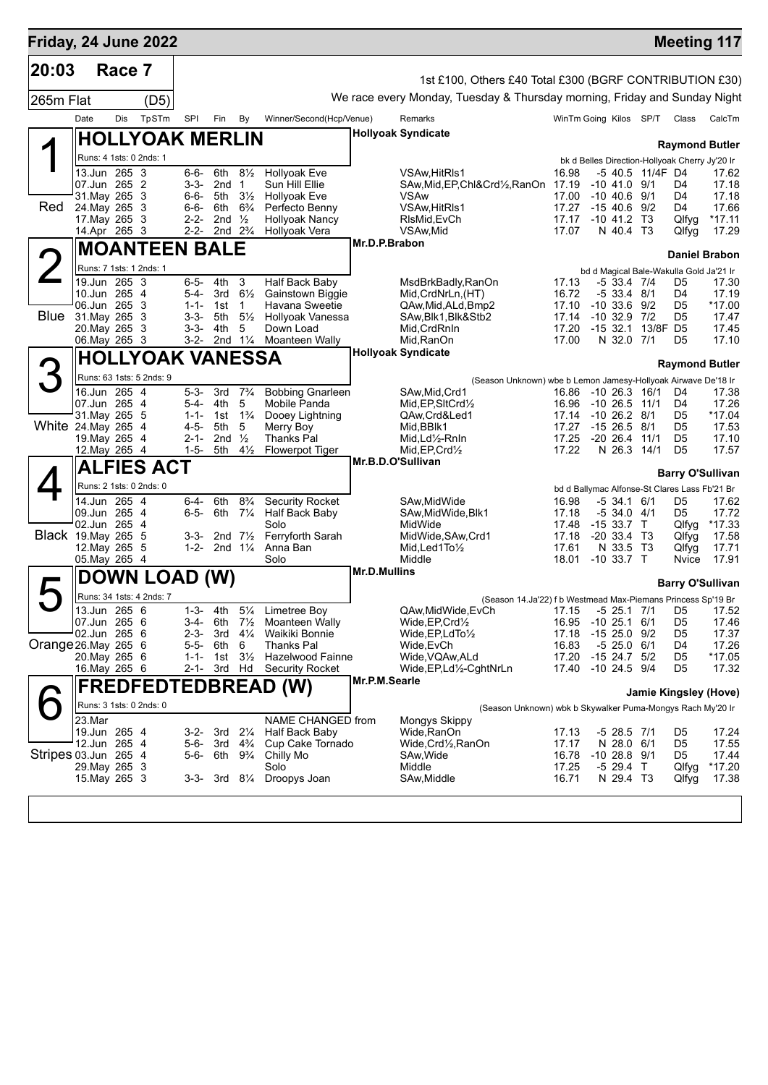|                      |                                |        | Friday, 24 June 2022     |                        |                           |                                      |                                          |                     |                                                                                 |                                         |                                      |                  |                                                | <b>Meeting 117</b>      |
|----------------------|--------------------------------|--------|--------------------------|------------------------|---------------------------|--------------------------------------|------------------------------------------|---------------------|---------------------------------------------------------------------------------|-----------------------------------------|--------------------------------------|------------------|------------------------------------------------|-------------------------|
| 20:03                |                                | Race 7 |                          |                        |                           |                                      |                                          |                     | 1st £100, Others £40 Total £300 (BGRF CONTRIBUTION £30)                         |                                         |                                      |                  |                                                |                         |
| 265m Flat            |                                |        | (D5)                     |                        |                           |                                      |                                          |                     | We race every Monday, Tuesday & Thursday morning, Friday and Sunday Night       |                                         |                                      |                  |                                                |                         |
|                      | Date                           | Dis    | TpSTm                    | SPI                    | Fin                       | By                                   | Winner/Second(Hcp/Venue)                 |                     | Remarks                                                                         | WinTm Going Kilos SP/T Class            |                                      |                  |                                                | CalcTm                  |
|                      |                                |        | <b>HOLLYOAK MERLIN</b>   |                        |                           |                                      |                                          |                     | <b>Hollyoak Syndicate</b>                                                       |                                         |                                      |                  |                                                |                         |
|                      |                                |        | Runs: 4 1sts: 0 2nds: 1  |                        |                           |                                      |                                          |                     |                                                                                 |                                         |                                      |                  |                                                | <b>Raymond Butler</b>   |
|                      | 13.Jun 265 3                   |        |                          | 6-6-                   |                           | 6th $8\frac{1}{2}$                   | <b>Hollyoak Eve</b>                      |                     | VSAw, HitRIs1                                                                   | 16.98                                   |                                      | -5 40.5 11/4F D4 | bk d Belles Direction-Hollyoak Cherry Jy'20 Ir | 17.62                   |
|                      | 07.Jun 265 2                   |        |                          | 3-3-                   | 2nd <sub>1</sub>          |                                      | Sun Hill Ellie                           |                     | SAw, Mid, EP, Chl&Crd1/2, RanOn 17.19                                           | 17.00                                   | $-10$ 41.0 $9/1$                     |                  | D4                                             | 17.18                   |
| Red                  | 31. May 265 3<br>24. May 265 3 |        |                          | 6-6-<br>6-6-           | 6th                       | 5th $3\frac{1}{2}$<br>$6\frac{3}{4}$ | <b>Hollyoak Eve</b><br>Perfecto Benny    |                     | <b>VSAw</b><br>VSAw, HitRIs1                                                    | 17.27                                   | $-10$ 40.6 $9/1$<br>$-15$ 40.6 9/2   |                  | D4<br>D4                                       | 17.18<br>17.66          |
|                      | 17. May 265 3                  |        |                          | $2 - 2 -$              | 2nd $\frac{1}{2}$         |                                      | <b>Hollyoak Nancy</b>                    |                     | RIsMid, EvCh                                                                    | 17.17                                   | $-10$ 41.2 T3                        |                  | Qlfyg                                          | $*17.11$                |
|                      | 14.Apr 265 3                   |        |                          |                        | 2-2- 2nd $2\frac{3}{4}$   |                                      | Hollyoak Vera                            | Mr.D.P.Brabon       | VSAw, Mid                                                                       | 17.07                                   | N 40.4 T3                            |                  | Qlfyg                                          | 17.29                   |
|                      |                                |        | <b>MOANTEEN BALE</b>     |                        |                           |                                      |                                          |                     |                                                                                 |                                         |                                      |                  |                                                | <b>Daniel Brabon</b>    |
|                      | 19.Jun 265 3                   |        | Runs: 7 1sts: 1 2nds: 1  | $6 - 5 -$              | 4th                       | 3                                    | Half Back Baby                           |                     | MsdBrkBadly,RanOn                                                               | 17.13                                   | $-533.47/4$                          |                  | bd d Magical Bale-Wakulla Gold Ja'21 Ir<br>D5  | 17.30                   |
|                      | 10.Jun 265 4                   |        |                          | 5-4-                   | 3rd                       | $6\frac{1}{2}$                       | Gainstown Biggie                         |                     | Mid, CrdNrLn, (HT)                                                              | 16.72                                   | $-533.48/1$                          |                  | D4                                             | 17.19                   |
| <b>Blue</b>          | 06.Jun 265 3<br>31. May 265 3  |        |                          | $1 - 1 -$<br>$3 - 3 -$ | 1st<br>5th                | $\mathbf{1}$<br>$5\frac{1}{2}$       | Havana Sweetie<br>Hollyoak Vanessa       |                     | QAw, Mid, ALd, Bmp2<br>SAw, Blk1, Blk&Stb2                                      | 17.10<br>17.14                          | $-10, 33.6, 9/2$<br>$-10$ 32.9 $7/2$ |                  | D <sub>5</sub><br>D5                           | $*17.00$<br>17.47       |
|                      | 20. May 265 3                  |        |                          | $3 - 3 -$              | 4th                       | 5                                    | Down Load                                |                     | Mid, CrdRnIn                                                                    | 17.20                                   | $-1532.1$                            | 13/8F D5         |                                                | 17.45                   |
|                      | 06. May 265 3                  |        |                          | 3-2-                   |                           | 2nd $1\frac{1}{4}$                   | <b>Moanteen Wally</b>                    |                     | Mid, RanOn<br><b>Hollyoak Syndicate</b>                                         | 17.00                                   | N 32.0 7/1                           |                  | D5                                             | 17.10                   |
| З                    |                                |        | <b>HOLLYOAK VANESSA</b>  |                        |                           |                                      |                                          |                     |                                                                                 |                                         |                                      |                  |                                                | <b>Raymond Butler</b>   |
|                      | 16.Jun 265 4                   |        | Runs: 63 1sts: 5 2nds: 9 | $5 - 3 -$              | 3rd                       | $7\frac{3}{4}$                       | <b>Bobbing Gnarleen</b>                  |                     | (Season Unknown) wbe b Lemon Jamesy-Hollyoak Airwave De'18 Ir<br>SAw, Mid, Crd1 | 16.86                                   | $-10$ 26.3 $16/1$                    |                  | D4                                             |                         |
|                      | 07.Jun 265 4                   |        |                          | 5-4-                   | 4th                       | 5                                    | Mobile Panda                             |                     | Mid, EP, SItCrd1/2                                                              | 16.96                                   | -10 26.5 11/1                        |                  | D4                                             | 17.38<br>17.26          |
| White 24. May 265 4  | 31. May 265 5                  |        |                          | $1 - 1 -$<br>$4 - 5 -$ | 1st<br>5th                | $1\frac{3}{4}$<br>5                  | Dooey Lightning<br>Merry Boy             |                     | QAw,Crd&Led1<br>Mid, BBIk1                                                      | 17.14 -10 26.2 8/1<br>17.27             | $-1526.58/1$                         |                  | D5<br>D5                                       | $*17.04$<br>17.53       |
|                      | 19. May 265 4                  |        |                          | $2 - 1 -$              | 2nd                       | $\frac{1}{2}$                        | <b>Thanks Pal</b>                        |                     | Mid,Ld½-RnIn                                                                    | 17.25                                   | $-20$ 26.4 $11/1$                    |                  | D <sub>5</sub>                                 | 17.10                   |
|                      | 12. May 265 4                  |        |                          | $1 - 5 -$              | 5th                       | $4\frac{1}{2}$                       | <b>Flowerpot Tiger</b>                   |                     | Mid, EP, Crd1/2<br>Mr.B.D.O'Sullivan                                            | 17.22                                   | N 26.3 14/1                          |                  | D <sub>5</sub>                                 | 17.57                   |
|                      |                                |        | <b>ALFIES ACT</b>        |                        |                           |                                      |                                          |                     |                                                                                 |                                         |                                      |                  |                                                | <b>Barry O'Sullivan</b> |
|                      |                                |        | Runs: 2 1sts: 0 2nds: 0  |                        |                           |                                      |                                          |                     |                                                                                 |                                         |                                      |                  | bd d Ballymac Alfonse-St Clares Lass Fb'21 Br  |                         |
|                      | 14.Jun 265 4<br>09.Jun 265 4   |        |                          | 6-4-<br>$6 - 5 -$      | 6th<br>6th                | $8\frac{3}{4}$<br>$7\frac{1}{4}$     | <b>Security Rocket</b><br>Half Back Baby |                     | SAw, Mid Wide<br>SAw, Mid Wide, Blk1                                            | 16.98<br>17.18                          | -5 34.1 6/1<br>$-534.04/1$           |                  | D5<br>D5                                       | 17.62<br>17.72          |
|                      | 02.Jun 265 4                   |        |                          |                        |                           |                                      | Solo                                     |                     | MidWide                                                                         | 17.48                                   | $-1533.7$ T                          |                  | Qlfyg                                          | *17.33                  |
| Black 19. May 265 5  | 12. May 265 5                  |        |                          | 3-3-<br>$1 - 2 -$      | 2nd $7\frac{1}{2}$        | 2nd $1\frac{1}{4}$                   | Ferryforth Sarah<br>Anna Ban             |                     | MidWide, SAw, Crd1<br>$Mid$ , Led 1 To $\frac{1}{2}$                            | 17.18<br>17.61                          | $-20, 33.4, 73$<br>N 33.5 T3         |                  | Qlfyg<br>Qlfyg                                 | 17.58<br>17.71          |
|                      | 05. May 265 4                  |        |                          |                        |                           |                                      | Solo                                     |                     | Middle                                                                          | 18.01                                   | $-10,33.7$ T                         |                  | Nvice                                          | 17.91                   |
|                      |                                |        | DOWN LOAD (W)            |                        |                           |                                      |                                          | <b>Mr.D.Mullins</b> |                                                                                 |                                         |                                      |                  |                                                | <b>Barry O'Sullivan</b> |
|                      |                                |        | Runs: 34 1sts: 4 2nds: 7 |                        |                           |                                      |                                          |                     | (Season 14.Ja'22) f b Westmead Max-Piemans Princess Sp'19 Br                    |                                         |                                      |                  |                                                |                         |
|                      | 13.Jun 265 6<br>07.Jun 265 6   |        |                          | $1 - 3 -$<br>3-4-      | 4th<br>6th                | $5\frac{1}{4}$<br>$7\frac{1}{2}$     | Limetree Boy<br>Moanteen Wally           |                     | QAw,MidWide,EvCh<br>Wide, EP, Crd1/2                                            | 17.15 -5 25.1 7/1<br>16.95 -10 25.1 6/1 |                                      |                  | D5<br>D <sub>5</sub>                           | 17.52<br>17.46          |
|                      | 02.Jun 265 6                   |        |                          | $2 - 3 -$              | 3rd                       | $4\frac{1}{4}$                       | Waikiki Bonnie                           |                     | Wide, EP, LdTo <sup>1/2</sup>                                                   | 17.18                                   | $-1525.09/2$                         |                  | D5                                             | 17.37                   |
| Orange 26. May 265 6 | 20. May 265 6                  |        |                          | $5 - 5 -$<br>$1 - 1 -$ | 6th<br>1st $3\frac{1}{2}$ | 6                                    | Thanks Pal<br><b>Hazelwood Fainne</b>    |                     | Wide, EvCh<br>Wide, VQAw, ALd                                                   | 16.83<br>17.20                          | $-525.0$<br>$-15$ 24.7 $5/2$         | 6/1              | D4<br>D <sub>5</sub>                           | 17.26<br>*17.05         |
|                      | 16.May 265 6                   |        |                          | $2 - 1 -$              |                           | 3rd Hd                               | <b>Security Rocket</b>                   |                     | Wide, EP, Ld <sup>1</sup> / <sub>2</sub> -CghtNrLn                              | 17.40                                   | -10 24.5 9/4                         |                  | D <sub>5</sub>                                 | 17.32                   |
|                      |                                |        |                          |                        |                           |                                      | <b>FREDFEDTEDBREAD (W)</b>               | Mr.P.M.Searle       |                                                                                 |                                         |                                      |                  |                                                | Jamie Kingsley (Hove)   |
|                      |                                |        | Runs: 3 1sts: 0 2nds: 0  |                        |                           |                                      |                                          |                     | (Season Unknown) wbk b Skywalker Puma-Mongys Rach My'20 Ir                      |                                         |                                      |                  |                                                |                         |
|                      | 23.Mar                         |        |                          |                        |                           |                                      | NAME CHANGED from                        |                     | Mongys Skippy                                                                   |                                         |                                      |                  |                                                |                         |
|                      | 19.Jun 265 4<br>12.Jun 265 4   |        |                          | 3-2-<br>5-6-           | 3rd                       | $2\frac{1}{4}$<br>3rd $4\frac{3}{4}$ | Half Back Baby<br>Cup Cake Tornado       |                     | Wide, RanOn<br>Wide,Crd½,RanOn                                                  | 17.13<br>17.17                          | -5 28.5 7/1<br>N 28.0 6/1            |                  | D5<br>D <sub>5</sub>                           | 17.24<br>17.55          |
| Stripes 03.Jun 265 4 |                                |        |                          | 5-6-                   | 6th                       | $9\frac{3}{4}$                       | Chilly Mo                                |                     | SAw, Wide                                                                       | 16.78                                   | $-10$ 28.8 $9/1$                     |                  | D <sub>5</sub>                                 | 17.44                   |
|                      | 29. May 265 3<br>15. May 265 3 |        |                          | 3-3-                   |                           | 3rd 81⁄4                             | Solo<br>Droopys Joan                     |                     | Middle<br>SAw,Middle                                                            | 17.25<br>16.71                          | $-5$ 29.4 T<br>N 29.4 T3             |                  | Qlfyg<br>Qlfyg                                 | *17.20<br>17.38         |
|                      |                                |        |                          |                        |                           |                                      |                                          |                     |                                                                                 |                                         |                                      |                  |                                                |                         |
|                      |                                |        |                          |                        |                           |                                      |                                          |                     |                                                                                 |                                         |                                      |                  |                                                |                         |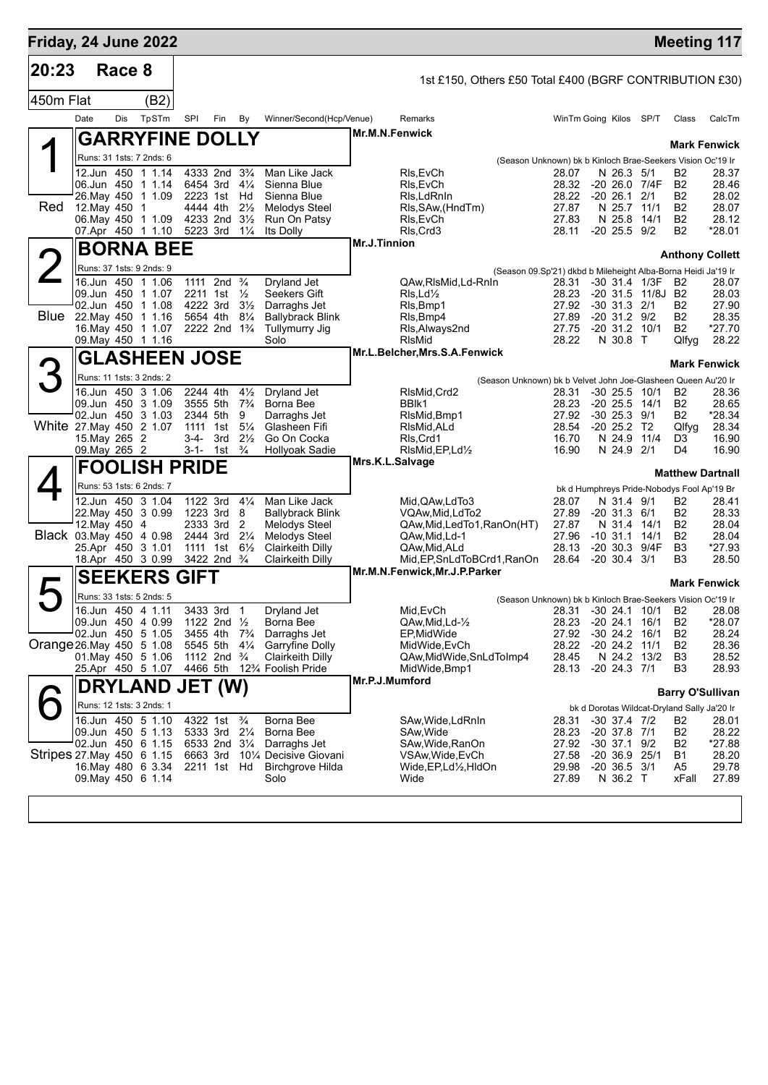|           | Friday, 24 June 2022                             |              |                                                    |                                  |                                           |                       |                                                                      |                                                               |                                                          |              |                                  | <b>Meeting 117</b>      |
|-----------|--------------------------------------------------|--------------|----------------------------------------------------|----------------------------------|-------------------------------------------|-----------------------|----------------------------------------------------------------------|---------------------------------------------------------------|----------------------------------------------------------|--------------|----------------------------------|-------------------------|
| 20:23     | Race 8                                           |              |                                                    |                                  |                                           |                       |                                                                      |                                                               |                                                          |              |                                  |                         |
| 450m Flat |                                                  | (B2)         |                                                    |                                  |                                           |                       | 1st £150, Others £50 Total £400 (BGRF CONTRIBUTION £30)              |                                                               |                                                          |              |                                  |                         |
|           | Date<br><b>Dis</b>                               | <b>TpSTm</b> | SPI<br>Fin                                         | By                               | Winner/Second(Hcp/Venue)                  |                       | Remarks                                                              |                                                               | WinTm Going Kilos SP/T                                   |              | Class                            | CalcTm                  |
|           |                                                  |              | <b>GARRYFINE DOLLY</b>                             |                                  |                                           | <b>Mr.M.N.Fenwick</b> |                                                                      |                                                               |                                                          |              |                                  | <b>Mark Fenwick</b>     |
|           | Runs: 31 1sts: 7 2nds: 6                         |              |                                                    |                                  |                                           |                       |                                                                      | (Season Unknown) bk b Kinloch Brae-Seekers Vision Oc'19 Ir    |                                                          |              |                                  |                         |
|           | 12.Jun 450 1 1.14                                |              | 4333 2nd                                           | $3\frac{3}{4}$                   | Man Like Jack                             |                       | Rls,EvCh                                                             | 28.07                                                         | N 26.3 5/1                                               |              | B2                               | 28.37                   |
|           | 06.Jun 450 1 1.14<br>26. May 450 1 1.09          |              | 6454 3rd<br>2223 1st                               | $4\frac{1}{4}$<br>Hd             | Sienna Blue<br>Sienna Blue                |                       | RIs, EvCh<br>RIs, LdRnIn                                             | 28.32<br>28.22                                                | -20 26.0 7/4F<br>$-20$ 26.1 $2/1$                        |              | B <sub>2</sub><br>B <sub>2</sub> | 28.46<br>28.02          |
| Red       | 12. May 450                                      | -1           | 4444 4th                                           | $2\frac{1}{2}$                   | Melodys Steel                             |                       | RIs, SAw, (HndTm)                                                    | 27.87                                                         | N 25.7                                                   | 11/1         | B <sub>2</sub>                   | 28.07                   |
|           | 06. May 450 1 1.09                               |              | 4233 2nd                                           | $3\frac{1}{2}$                   | Run On Patsy                              |                       | RIs, EvCh                                                            | 27.83                                                         | N 25.8 14/1                                              |              | B <sub>2</sub>                   | 28.12                   |
|           | 07.Apr 450 1 1.10                                |              | 5223 3rd                                           | $1\frac{1}{4}$                   | Its Dolly                                 | Mr.J.Tinnion          | RIs, Crd3                                                            | 28.11                                                         | -20 25.5 9/2                                             |              | <b>B2</b>                        | *28.01                  |
|           | <b>BORNA BEE</b>                                 |              |                                                    |                                  |                                           |                       |                                                                      |                                                               |                                                          |              |                                  | <b>Anthony Collett</b>  |
|           | Runs: 37 1sts: 9 2nds: 9                         |              |                                                    |                                  |                                           |                       |                                                                      | (Season 09.Sp'21) dkbd b Mileheight Alba-Borna Heidi Ja'19 Ir |                                                          |              |                                  |                         |
|           | 16.Jun 450 1 1.06<br>09.Jun 450 1 1.07           |              | 1111 2nd<br>2211 1st                               | $\frac{3}{4}$<br>$\frac{1}{2}$   | <b>Drvland Jet</b><br>Seekers Gift        |                       | QAw, RIsMid, Ld-RnIn<br>Rls, Ld <sub>2</sub>                         | 28.31<br>28.23                                                | $-30$ 31.4 $1/3F$<br>-20 31.5 11/8J B2                   |              | B2                               | 28.07<br>28.03          |
|           | 02.Jun 450 1 1.08                                |              | 4222 3rd                                           | $3\frac{1}{2}$                   | Darraghs Jet                              |                       | RIs, Bmp1                                                            | 27.92                                                         | $-30$ 31.3 $2/1$                                         |              | B <sub>2</sub>                   | 27.90                   |
| Blue      | 22. May 450 1 1.16<br>16. May 450 1 1.07         |              | 5654 4th<br>2222 2nd 1 <sup>3</sup> / <sub>4</sub> | $8\frac{1}{4}$                   | <b>Ballybrack Blink</b><br>Tullymurry Jig |                       | Rls, Bmp4<br>Rls, Always 2nd                                         | 27.89<br>27.75                                                | $-20$ 31.2 $9/2$<br>$-20$ 31.2 10/1                      |              | <b>B2</b><br>B <sub>2</sub>      | 28.35<br>$*27.70$       |
|           | 09. May 450 1 1.16                               |              |                                                    |                                  | Solo                                      |                       | RIsMid                                                               | 28.22                                                         | N 30.8 T                                                 |              | Qlfyg                            | 28.22                   |
|           |                                                  |              | <b>GLASHEEN JOSE</b>                               |                                  |                                           |                       | Mr.L.Belcher, Mrs.S.A.Fenwick                                        |                                                               |                                                          |              |                                  | <b>Mark Fenwick</b>     |
|           | Runs: 11 1sts: 3 2nds: 2                         |              |                                                    |                                  |                                           |                       | (Season Unknown) bk b Velvet John Joe-Glasheen Queen Au'20 Ir        |                                                               |                                                          |              |                                  |                         |
|           | 16.Jun 450 3 1.06                                |              | 2244 4th                                           | $4\frac{1}{2}$                   | Dryland Jet                               |                       | RIsMid, Crd2                                                         | 28.31                                                         | $-30$ 25.5 10/1                                          |              | B <sub>2</sub>                   | 28.36                   |
|           | 09.Jun 450 3 1.09<br>02.Jun 450 3 1.03           |              | 3555 5th<br>2344 5th                               | $7\frac{3}{4}$<br>9              | Borna Bee                                 |                       | BBIK1                                                                | 28.23<br>27.92                                                | $-20$ 25.5 14/1<br>$-30$ 25.3 $9/1$                      |              | B <sub>2</sub><br><b>B2</b>      | 28.65<br>*28.34         |
|           | White 27. May 450 2 1.07                         |              | 1111 1st                                           | $5\frac{1}{4}$                   | Darraghs Jet<br>Glasheen Fifi             |                       | RIsMid, Bmp1<br>RIsMid, ALd                                          | 28.54                                                         | $-20$ 25.2 T <sub>2</sub>                                |              | Qlfyg                            | 28.34                   |
|           | 15. May 265 2                                    |              | 3-4-<br>3rd                                        | $2\frac{1}{2}$                   | Go On Cocka                               |                       | RIs, Crd1                                                            | 16.70                                                         | N 24.9                                                   | 11/4         | D3                               | 16.90                   |
|           | 09. May 265 2                                    |              | $3-1 - 1$ st                                       | $\frac{3}{4}$                    | Hollyoak Sadie                            | Mrs.K.L.Salvage       | RIsMid, EP, Ld1/2                                                    | 16.90                                                         | N 24.9 2/1                                               |              | D4                               | 16.90                   |
|           |                                                  |              | <b>FOOLISH PRIDE</b>                               |                                  |                                           |                       |                                                                      |                                                               |                                                          |              |                                  | <b>Matthew Dartnall</b> |
|           | Runs: 53 1sts: 6 2nds: 7<br>12.Jun 450 3 1.04    |              | 1122 3rd                                           | $4\frac{1}{4}$                   | Man Like Jack                             |                       | Mid, QAw, Ld To 3                                                    | 28.07                                                         | bk d Humphreys Pride-Nobodys Fool Ap'19 Br<br>N 31.4 9/1 |              | B <sub>2</sub>                   | 28.41                   |
|           | 22. May 450 3 0.99                               |              | 1223 3rd                                           | 8                                | Ballybrack Blink                          |                       | VQAw,Mid,LdTo2                                                       | 27.89                                                         | $-20$ 31.3 $6/1$                                         |              | B2                               | 28.33                   |
|           | 12. May 450 4                                    |              | 2333 3rd                                           | 2                                | <b>Melodys Steel</b>                      |                       | QAw, Mid, Led To 1, RanOn(HT)                                        | 27.87                                                         | N 31.4                                                   | 14/1         | <b>B2</b>                        | 28.04                   |
|           | Black 03. May 450 4 0.98<br>25.Apr 450 3 1.01    |              | 2444 3rd<br>1111 1st                               | $2\frac{1}{4}$<br>$6\frac{1}{2}$ | <b>Melodys Steel</b><br>Clairkeith Dilly  |                       | QAw, Mid, Ld-1<br>QAw, Mid, ALd                                      | 27.96<br>28.13                                                | $-10, 31.1$<br>$-20, 30.3$                               | 14/1<br>9/4F | B <sub>2</sub><br>B <sub>3</sub> | 28.04<br>*27.93         |
|           | 18.Apr 450 3 0.99                                |              | 3422 2nd <sup>3</sup> / <sub>4</sub>               |                                  | Clairkeith Dilly                          |                       | Mid, EP, SnLdToBCrd1, RanOn                                          | 28.64                                                         | $-20, 30.4, 3/1$                                         |              | B <sub>3</sub>                   | 28.50                   |
|           | <b>SEEKERS</b>                                   |              | <b>GIFT</b>                                        |                                  |                                           |                       | Mr.M.N.Fenwick, Mr.J.P.Parker                                        |                                                               |                                                          |              |                                  | Mark Fenwick            |
|           | Runs: 33 1sts: 5 2nds: 5                         |              |                                                    |                                  |                                           |                       |                                                                      | (Season Unknown) bk b Kinloch Brae-Seekers Vision Oc'19 Ir    |                                                          |              |                                  |                         |
|           | 16.Jun 450 4 1.11                                |              | 3433 3rd                                           | $\overline{1}$                   | Dryland Jet                               |                       | Mid, EvCh                                                            | 28.31                                                         | $-30$ 24.1 10/1                                          |              | B2                               | 28.08                   |
|           | 09.Jun 450 4 0.99<br>02.Jun 450 5 1.05           |              | 1122 2nd $\frac{1}{2}$<br>3455 4th                 | $7\frac{3}{4}$                   | Borna Bee<br>Darraghs Jet                 |                       | QAw, Mid, Ld-1/2<br>EP,MidWide                                       | 28.23<br>27.92                                                | $-20$ 24.1 16/1<br>$-30$ 24.2 16/1                       |              | B <sub>2</sub><br>B <sub>2</sub> | $*28.07$<br>28.24       |
|           | Orange 26. May 450 5 1.08                        |              | 5545 5th                                           | $4\frac{1}{4}$                   | Garryfine Dolly                           |                       | MidWide, EvCh                                                        | 28.22                                                         | $-20$ 24.2 $11/1$                                        |              | B <sub>2</sub>                   | 28.36                   |
|           | 01. May 450 5 1.06                               |              | 1112 2nd                                           | $\frac{3}{4}$                    | Clairkeith Dilly                          |                       | QAw, Mid Wide, SnLd Tolmp4                                           | 28.45                                                         |                                                          | N 24.2 13/2  | B <sub>3</sub>                   | 28.52                   |
|           | 25.Apr 450 5 1.07                                |              | 4466 5th                                           |                                  | 12% Foolish Pride                         | Mr.P.J.Mumford        | MidWide, Bmp1                                                        | 28.13                                                         | $-20$ 24.3 $7/1$                                         |              | B <sub>3</sub>                   | 28.93                   |
|           |                                                  |              | DRYLAND JET (W)                                    |                                  |                                           |                       |                                                                      |                                                               |                                                          |              |                                  | <b>Barry O'Sullivan</b> |
|           | Runs: 12 1sts: 3 2nds: 1<br>16.Jun 450 5 1.10    |              |                                                    | $\frac{3}{4}$                    | Borna Bee                                 |                       |                                                                      |                                                               | bk d Dorotas Wildcat-Dryland Sally Ja'20 Ir              |              |                                  |                         |
|           | 09.Jun 450 5 1.13                                |              | 4322 1st<br>5333 3rd                               | $2\frac{1}{4}$                   | Borna Bee                                 |                       | SAw,Wide,LdRnIn<br>SAw,Wide                                          | 28.31<br>28.23                                                | $-30$ 37.4 $7/2$<br>$-20$ 37.8 $7/1$                     |              | B2<br>B <sub>2</sub>             | 28.01<br>28.22          |
|           | 02.Jun 450 6 1.15                                |              | 6533 2nd                                           | $3\frac{1}{4}$                   | Darraghs Jet                              |                       | SAw, Wide, RanOn                                                     | 27.92                                                         | $-30$ 37.1 $9/2$                                         |              | B <sub>2</sub>                   | *27.88                  |
|           | Stripes 27. May 450 6 1.15<br>16. May 480 6 3.34 |              | 6663 3rd<br>2211 1st                               | Hd                               | 10¼ Decisive Giovani<br>Birchgrove Hilda  |                       | VSAw, Wide, EvCh<br>Wide, EP, Ld <sup>1</sup> / <sub>2</sub> , HIdOn | 27.58<br>29.98                                                | -20 36.9<br>$-20, 36.5, 3/1$                             | 25/1         | B1<br>A5                         | 28.20<br>29.78          |
|           | 09. May 450 6 1.14                               |              |                                                    |                                  | Solo                                      |                       | Wide                                                                 | 27.89                                                         | N 36.2 T                                                 |              | xFall                            | 27.89                   |
|           |                                                  |              |                                                    |                                  |                                           |                       |                                                                      |                                                               |                                                          |              |                                  |                         |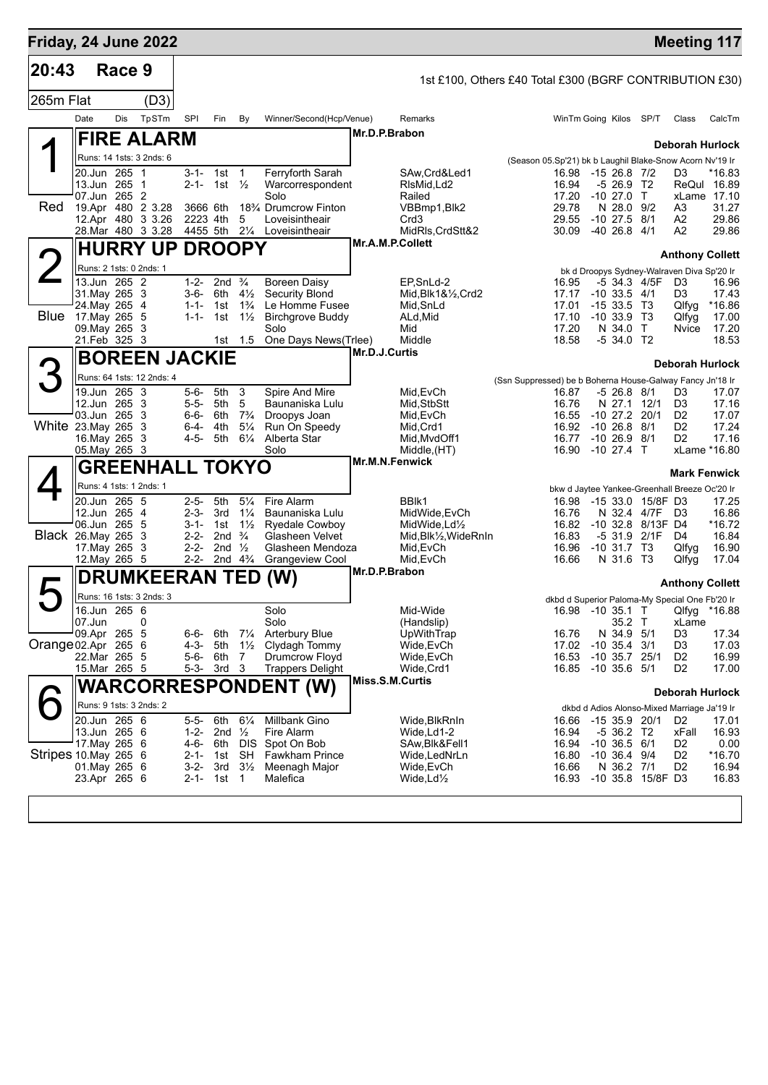| Friday, 24 June 2022     |                                         |        |                           |                        |                                               |                                  |                                                        |                                                          |                                                           |                |                                 |                                  | <b>Meeting 117</b>                                                              |                      |
|--------------------------|-----------------------------------------|--------|---------------------------|------------------------|-----------------------------------------------|----------------------------------|--------------------------------------------------------|----------------------------------------------------------|-----------------------------------------------------------|----------------|---------------------------------|----------------------------------|---------------------------------------------------------------------------------|----------------------|
| 20:43                    |                                         | Race 9 |                           |                        |                                               |                                  |                                                        | 1st £100, Others £40 Total £300 (BGRF CONTRIBUTION £30)  |                                                           |                |                                 |                                  |                                                                                 |                      |
| 265m Flat                |                                         |        | (D3)                      |                        |                                               |                                  |                                                        |                                                          |                                                           |                |                                 |                                  |                                                                                 |                      |
|                          | Date                                    | Dis    | TpSTm                     | SPI                    | Fin                                           | By                               | Winner/Second(Hcp/Venue)                               | Remarks                                                  |                                                           |                | WinTm Going Kilos SP/T          |                                  | Class                                                                           | CalcTm               |
|                          |                                         |        | <b>FIRE ALARM</b>         |                        |                                               |                                  |                                                        | Mr.D.P.Brabon                                            |                                                           |                |                                 |                                  |                                                                                 |                      |
|                          |                                         |        | Runs: 14 1sts: 3 2nds: 6  |                        |                                               |                                  |                                                        |                                                          |                                                           |                |                                 |                                  | Deborah Hurlock                                                                 |                      |
|                          | 20.Jun 265 1                            |        |                           | 3-1- 1st               |                                               | $\overline{1}$                   | Ferryforth Sarah                                       | SAw, Crd&Led1                                            | (Season 05.Sp'21) bk b Laughil Blake-Snow Acorn Nv'19 Ir  | 16.98          | $-1526.87/2$                    |                                  | D3                                                                              | *16.83               |
|                          | 13.Jun 265 1<br>07.Jun 265 2            |        |                           | $2 - 1 -$              | 1st                                           | $\frac{1}{2}$                    | Warcorrespondent                                       | RIsMid,Ld2                                               |                                                           | 16.94          | $-5, 26.9, T2$<br>$-10, 27.0$ T |                                  |                                                                                 | ReQul 16.89          |
| Red                      |                                         |        | 19.Apr 480 2 3.28         | 3666 6th               |                                               |                                  | Solo<br>18 <sup>3</sup> / <sub>4</sub> Drumcrow Finton | Railed<br>VBBmp1, Blk2                                   |                                                           | 17.20<br>29.78 | N 28.0 9/2                      |                                  | A3                                                                              | xLame 17.10<br>31.27 |
|                          |                                         |        | 12.Apr 480 3 3.26         | 2223 4th               |                                               | 5                                | Loveisintheair                                         | Crd3                                                     |                                                           | 29.55          | $-10$ 27.5 $8/1$                |                                  | A2                                                                              | 29.86                |
|                          |                                         |        | 28. Mar 480 3 3.28        | 4455 5th               |                                               | $2\frac{1}{4}$                   | Loveisintheair                                         | MidRIs, CrdStt&2<br>Mr.A.M.P.Collett                     |                                                           | 30.09          | $-40$ 26.8 $4/1$                |                                  | A2                                                                              | 29.86                |
|                          |                                         |        | <b>HURRY UP</b>           |                        | <b>DROOPY</b>                                 |                                  |                                                        |                                                          |                                                           |                |                                 |                                  | <b>Anthony Collett</b>                                                          |                      |
|                          | Runs: 2 1sts: 0 2nds: 1<br>13.Jun 265 2 |        |                           |                        | 1-2- 2nd $\frac{3}{4}$                        |                                  | <b>Boreen Daisy</b>                                    | EP, SnLd-2                                               |                                                           | 16.95          |                                 | $-5$ 34.3 4/5F                   | bk d Droopys Sydney-Walraven Diva Sp'20 Ir<br>D3                                | 16.96                |
|                          | 31. May 265 3                           |        |                           |                        | 3-6- 6th $4\frac{1}{2}$                       |                                  | <b>Security Blond</b>                                  | Mid, Blk1&1/2, Crd2                                      |                                                           | 17.17          | $-10$ 33.5 $4/1$                |                                  | D <sub>3</sub>                                                                  | 17.43                |
| <b>Blue</b>              | 24. May 265 4<br>17.May 265 5           |        |                           | $1 - 1 -$              | 1-1- 1st $1\frac{3}{4}$<br>1st $1\frac{1}{2}$ |                                  | Le Homme Fusee<br><b>Birchgrove Buddy</b>              | Mid, SnLd<br>ALd, Mid                                    |                                                           | 17.01<br>17.10 | $-1533.5$ T3<br>$-1033.9$ T3    |                                  | Qlfyg<br>Qlfyg                                                                  | *16.86<br>17.00      |
|                          | 09. May 265 3                           |        |                           |                        |                                               |                                  | Solo                                                   | Mid                                                      |                                                           | 17.20          | N 34.0                          | $\top$                           | Nvice                                                                           | 17.20                |
|                          | 21.Feb 325 3                            |        |                           |                        |                                               | 1st 1.5                          | One Days News(Trlee)                                   | Middle                                                   |                                                           | 18.58          | $-534.0$ T2                     |                                  |                                                                                 | 18.53                |
|                          |                                         |        | <b>BOREEN JACKIE</b>      |                        |                                               |                                  |                                                        | Mr.D.J.Curtis                                            |                                                           |                |                                 |                                  | Deborah Hurlock                                                                 |                      |
|                          |                                         |        | Runs: 64 1sts: 12 2nds: 4 |                        |                                               |                                  |                                                        |                                                          | (Ssn Suppressed) be b Boherna House-Galway Fancy Jn'18 Ir |                |                                 |                                  |                                                                                 |                      |
|                          | 19.Jun 265 3<br>12.Jun 265 3            |        |                           | $5 - 6 -$<br>$5 - 5 -$ | 5th<br>5th                                    | 3<br>5                           | Spire And Mire<br>Baunaniska Lulu                      | Mid, EvCh<br>Mid, StbStt                                 |                                                           | 16.87<br>16.76 | -5 26.8 8/1<br>N 27.1           | 12/1                             | D3<br>D <sub>3</sub>                                                            | 17.07<br>17.16       |
|                          | 03.Jun 265                              |        | - 3                       | 6-6-                   | 6th                                           | $7\frac{3}{4}$                   | Droopys Joan                                           | Mid, EvCh                                                |                                                           | 16.55          | $-10$ 27.2 20/1                 |                                  | D <sub>2</sub>                                                                  | 17.07                |
| White 23. May 265 3      | 16. May 265 3                           |        |                           | 6-4- 4th<br>4-5-       | 5th                                           | $5\frac{1}{4}$<br>$6\frac{1}{4}$ | Run On Speedy<br>Alberta Star                          | Mid, Crd1<br>Mid, MvdOff1                                |                                                           | 16.92<br>16.77 | -10 26.8<br>$-10, 26.9, 8/1$    | 8/1                              | D <sub>2</sub><br>D <sub>2</sub>                                                | 17.24<br>17.16       |
|                          | 05. May 265 3                           |        |                           |                        |                                               |                                  | Solo                                                   | Middle, (HT)                                             |                                                           | 16.90          | -10 27.4 T                      |                                  |                                                                                 | xLame *16.80         |
|                          |                                         |        | <b>GREENHALL TOKYO</b>    |                        |                                               |                                  |                                                        | <b>Mr.M.N.Fenwick</b>                                    |                                                           |                |                                 |                                  | <b>Mark Fenwick</b>                                                             |                      |
|                          |                                         |        | Runs: 4 1sts: 1 2nds: 1   |                        |                                               |                                  |                                                        |                                                          |                                                           |                |                                 |                                  | bkw d Jaytee Yankee-Greenhall Breeze Oc'20 Ir                                   |                      |
|                          | 20.Jun 265 5                            |        |                           | $2 - 5 -$              | 5th                                           | $5\frac{1}{4}$                   | Fire Alarm                                             | BBIk1                                                    |                                                           | 16.98          |                                 | -15 33.0 15/8F D3                |                                                                                 | 17.25                |
|                          | 12.Jun 265 4<br>06.Jun 265              |        | -5                        | $2 - 3 -$<br>$3 - 1 -$ | 3rd<br>1st                                    | $1\frac{1}{4}$<br>$1\frac{1}{2}$ | Baunaniska Lulu<br><b>Ryedale Cowboy</b>               | MidWide, EvCh<br>MidWide, Ld <sup>1</sup> / <sub>2</sub> |                                                           | 16.76<br>16.82 |                                 | N 32.4 4/7F<br>-10 32.8 8/13F D4 | D <sub>3</sub>                                                                  | 16.86<br>*16.72      |
| <b>Black</b> 26. May 265 |                                         |        | 3                         | $2 - 2 -$              | 2nd                                           | $\frac{3}{4}$                    | Glasheen Velvet                                        | Mid,Blk½,WideRnIn                                        |                                                           | 16.83          |                                 | -5 31.9 2/1F                     | D4                                                                              | 16.84                |
|                          | 17. May 265 3<br>12. May 265 5          |        |                           | $2 - 2 -$<br>$2 - 2 -$ | 2nd $\frac{1}{2}$                             | 2nd $4\frac{3}{4}$               | Glasheen Mendoza<br><b>Grangeview Cool</b>             | Mid, EvCh<br>Mid, EvCh                                   |                                                           | 16.96<br>16.66 | $-10$ 31.7 T3<br>N 31.6 T3      |                                  | Qlfyg<br>Qlfyg                                                                  | 16.90<br>17.04       |
|                          |                                         |        | <b>DRUMKEERAN TED</b>     |                        |                                               |                                  | (W)                                                    | Mr.D.P.Brabon                                            |                                                           |                |                                 |                                  |                                                                                 |                      |
|                          |                                         |        | Runs: 16 1sts: 3 2nds: 3  |                        |                                               |                                  |                                                        |                                                          |                                                           |                |                                 |                                  | <b>Anthony Collett</b>                                                          |                      |
|                          | 16.Jun 265 6                            |        |                           |                        |                                               |                                  | Solo                                                   | Mid-Wide                                                 |                                                           |                |                                 |                                  | dkbd d Superior Paloma-My Special One Fb'20 Ir<br>16.98 -10 35.1 T Qlfyg *16.88 |                      |
|                          | 07.Jun                                  |        | 0                         |                        |                                               |                                  | Solo                                                   | (Handslip)                                               |                                                           |                | 35.2 T                          |                                  | xLame                                                                           |                      |
| Orange 02.Apr 265 6      | 09.Apr 265 5                            |        |                           | 6-6-<br>4-3-           | 6th<br>5th                                    | $7\frac{1}{4}$<br>$1\frac{1}{2}$ | <b>Arterbury Blue</b><br>Clydagh Tommy                 | UpWithTrap<br>Wide, EvCh                                 |                                                           | 16.76<br>17.02 | N 34.9 5/1<br>$-10$ 35.4 3/1    |                                  | D3<br>D3                                                                        | 17.34<br>17.03       |
|                          | 22.Mar 265 5                            |        |                           | 5-6-                   | 6th                                           | 7                                | Drumcrow Floyd                                         | Wide, EvCh                                               |                                                           | 16.53          | $-10$ 35.7 25/1                 |                                  | D <sub>2</sub>                                                                  | 16.99                |
|                          | 15.Mar 265 5                            |        |                           |                        | 5-3- 3rd 3                                    |                                  | Trappers Delight                                       | Wide, Crd1<br>Miss.S.M.Curtis                            |                                                           |                | 16.85 -10 35.6 5/1              |                                  | D2                                                                              | 17.00                |
|                          |                                         |        | <b>WARCORRESPOND</b>      |                        |                                               |                                  | ENT (W)                                                |                                                          |                                                           |                |                                 |                                  | Deborah Hurlock                                                                 |                      |
|                          |                                         |        | Runs: 9 1sts: 3 2nds: 2   |                        |                                               |                                  |                                                        |                                                          |                                                           |                |                                 |                                  | dkbd d Adios Alonso-Mixed Marriage Ja'19 Ir                                     |                      |
|                          | 20.Jun 265 6<br>13.Jun 265 6            |        |                           | 5-5- 6th               | 1-2- 2nd $\frac{1}{2}$                        | $6\frac{1}{4}$                   | <b>Millbank Gino</b><br>Fire Alarm                     | Wide,BlkRnIn<br>Wide,Ld1-2                               |                                                           | 16.66<br>16.94 | -15 35.9 20/1<br>-5 36.2 T2     |                                  | D <sub>2</sub><br>xFall                                                         | 17.01<br>16.93       |
|                          | 17. May 265 6                           |        |                           | 4-6-                   | 6th                                           |                                  | DIS Spot On Bob                                        | SAw, Blk&Fell1                                           |                                                           | 16.94          | $-10, 36.5, 6/1$                |                                  | D2                                                                              | 0.00                 |
| Stripes 10. May 265 6    | 01.May 265 6                            |        |                           | 2-1- 1st<br>$3-2-$     | 3rd                                           | SH<br>$3\frac{1}{2}$             | <b>Fawkham Prince</b><br>Meenagh Major                 | Wide, LedNrLn<br>Wide, EvCh                              |                                                           | 16.80<br>16.66 | $-10, 36.4, 9/4$<br>N 36.2 7/1  |                                  | D <sub>2</sub><br>D <sub>2</sub>                                                | *16.70<br>16.94      |
|                          | 23.Apr 265 6                            |        |                           | $2 - 1 -$              | 1st 1                                         |                                  | Malefica                                               | Wide, $Ld\frac{1}{2}$                                    |                                                           | 16.93          |                                 | -10 35.8 15/8F D3                |                                                                                 | 16.83                |
|                          |                                         |        |                           |                        |                                               |                                  |                                                        |                                                          |                                                           |                |                                 |                                  |                                                                                 |                      |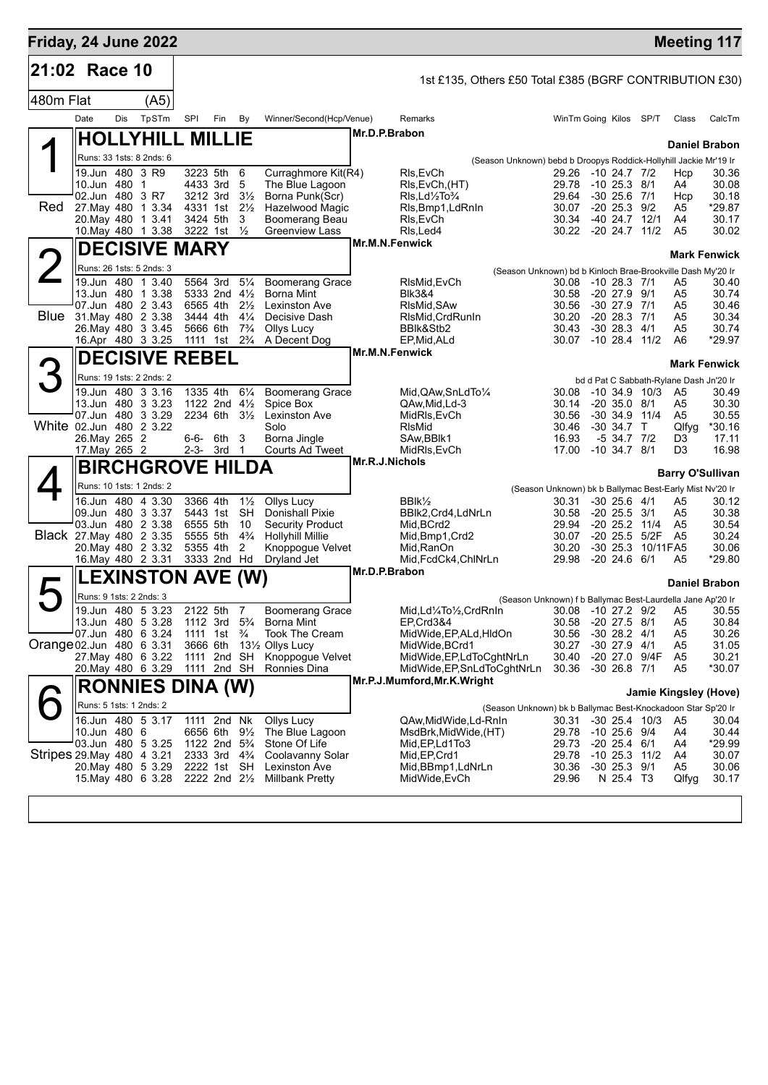| Friday, 24 June 2022       |                                 |     |                                          |                                        |     |                                  |                                             |                |                                                          |                                                                   |                        |                                       |          |                                         | <b>Meeting 117</b>  |
|----------------------------|---------------------------------|-----|------------------------------------------|----------------------------------------|-----|----------------------------------|---------------------------------------------|----------------|----------------------------------------------------------|-------------------------------------------------------------------|------------------------|---------------------------------------|----------|-----------------------------------------|---------------------|
| 21:02 Race 10              |                                 |     |                                          |                                        |     |                                  |                                             |                |                                                          |                                                                   |                        |                                       |          |                                         |                     |
| 480m Flat                  |                                 |     | (A5)                                     |                                        |     |                                  |                                             |                | 1st £135, Others £50 Total £385 (BGRF CONTRIBUTION £30)  |                                                                   |                        |                                       |          |                                         |                     |
|                            | Date                            | Dis | TpSTm                                    | SPI                                    | Fin | By                               | Winner/Second(Hcp/Venue)                    |                | Remarks                                                  |                                                                   | WinTm Going Kilos SP/T |                                       |          | Class                                   | CalcTm              |
|                            |                                 |     |                                          |                                        |     |                                  |                                             | Mr.D.P.Brabon  |                                                          |                                                                   |                        |                                       |          |                                         |                     |
|                            |                                 |     | <b>HOLLYHILL MILLIE</b>                  |                                        |     |                                  |                                             |                |                                                          |                                                                   |                        |                                       |          | <b>Daniel Brabon</b>                    |                     |
|                            |                                 |     | Runs: 33 1sts: 8 2nds: 6                 |                                        |     |                                  |                                             |                |                                                          | (Season Unknown) bebd b Droopys Roddick-Hollyhill Jackie Mr'19 Ir |                        |                                       |          |                                         |                     |
|                            | 19.Jun 480 3 R9<br>10.Jun 480 1 |     |                                          | 3223 5th<br>4433 3rd                   |     | 6<br>5                           | Curraghmore Kit(R4)<br>The Blue Lagoon      |                | RIs, EvCh<br>RIs, EvCh, (HT)                             |                                                                   | 29.26<br>29.78         | $-1024.7772$<br>$-10$ 25.3 $8/1$      |          | Hcp<br>A4                               | 30.36<br>30.08      |
|                            | 02.Jun 480 3 R7                 |     |                                          | 3212 3rd                               |     | $3\frac{1}{2}$                   | Borna Punk(Scr)                             |                | Rls,Ld1/2To3/4                                           |                                                                   | 29.64                  | $-30\,25.6$                           | 7/1      | Hcp                                     | 30.18               |
| Red                        |                                 |     | 27. May 480 1 3.34<br>20. May 480 1 3.41 | 4331 1st 21/ <sub>2</sub><br>3424 5th  |     | 3                                | Hazelwood Magic<br>Boomerang Beau           |                | RIs, Bmp1, LdRnIn<br>RIs, EvCh                           |                                                                   | 30.07<br>30.34         | $-20$ 25.3 $9/2$<br>$-40$ 24.7 $12/1$ |          | A5<br>A4                                | *29.87<br>30.17     |
|                            |                                 |     | 10. May 480 1 3.38                       | 3222 1st 1/2                           |     |                                  | <b>Greenview Lass</b>                       |                | RIs, Led4                                                |                                                                   | 30.22 -20 24.7 11/2    |                                       |          | A <sub>5</sub>                          | 30.02               |
|                            |                                 |     | <b>DECISIVE MARY</b>                     |                                        |     |                                  |                                             | Mr.M.N.Fenwick |                                                          |                                                                   |                        |                                       |          |                                         |                     |
|                            |                                 |     | Runs: 26 1sts: 5 2nds: 3                 |                                        |     |                                  |                                             |                |                                                          |                                                                   |                        |                                       |          |                                         | <b>Mark Fenwick</b> |
|                            |                                 |     | 19.Jun 480 1 3.40                        | 5564 3rd                               |     | $5\frac{1}{4}$                   | <b>Boomerang Grace</b>                      |                | RIsMid.EvCh                                              | (Season Unknown) bd b Kinloch Brae-Brookville Dash My'20 Ir       | 30.08                  | $-1028.371$                           |          | A5                                      | 30.40               |
|                            |                                 |     | 13.Jun 480 1 3.38                        | 5333 2nd $4\frac{1}{2}$                |     |                                  | <b>Borna Mint</b>                           |                | <b>BIk3&amp;4</b>                                        |                                                                   | 30.58                  | $-20$ 27.9 $9/1$                      |          | A5                                      | 30.74               |
| Blue                       |                                 |     | 07.Jun 480 2 3.43                        | 6565 4th                               |     | $2\frac{1}{2}$                   | Lexinston Ave                               |                | RIsMid.SAw                                               |                                                                   | 30.56                  | $-30$ 27.9 $7/1$                      |          | A5                                      | 30.46               |
|                            |                                 |     | 31. May 480 2 3.38<br>26. May 480 3 3.45 | 3444 4th<br>5666 6th                   |     | $4\frac{1}{4}$<br>$7\frac{3}{4}$ | Decisive Dash<br>Ollys Lucy                 |                | RIsMid, CrdRunIn<br>BBIk&Stb2                            |                                                                   | 30.20<br>30.43         | $-20$ 28.3 $7/1$<br>$-30$ 28.3 $4/1$  |          | A5<br>A5                                | 30.34<br>30.74      |
|                            |                                 |     | 16.Apr 480 3 3.25                        | 1111 1st                               |     | $2\frac{3}{4}$                   | A Decent Dog                                |                | EP, Mid, ALd                                             |                                                                   | 30.07                  | $-10$ 28.4 $11/2$                     |          | A6                                      | *29.97              |
|                            |                                 |     | <b>DECISIVE REBEL</b>                    |                                        |     |                                  |                                             | Mr.M.N.Fenwick |                                                          |                                                                   |                        |                                       |          |                                         | <b>Mark Fenwick</b> |
|                            |                                 |     | Runs: 19 1sts: 2 2nds: 2                 |                                        |     |                                  |                                             |                |                                                          |                                                                   |                        |                                       |          | bd d Pat C Sabbath-Rylane Dash Jn'20 Ir |                     |
|                            |                                 |     | 19.Jun 480 3 3.16                        | 1335 4th                               |     | $6\frac{1}{4}$                   | <b>Boomerang Grace</b>                      |                | Mid, QAw, SnLdTo 1/4                                     |                                                                   | 30.08                  | $-10, 34.9, 10/3$                     |          | A5                                      | 30.49               |
|                            |                                 |     | 13.Jun 480 3 3.23                        | 1122 2nd 41/2                          |     |                                  | Spice Box                                   |                | QAw,Mid,Ld-3                                             |                                                                   | 30.14                  | $-20, 35.0$                           | 8/1      | A5                                      | 30.30               |
| White 02.Jun 480 2 3.22    |                                 |     | 07.Jun 480 3 3.29                        | 2234 6th 31/2                          |     |                                  | <b>Lexinston Ave</b><br>Solo                |                | MidRls, EvCh<br><b>RIsMid</b>                            |                                                                   | 30.56<br>30.46         | $-30, 34.9, 11/4$<br>$-30, 34.7$ T    |          | A5<br>Qlfyg                             | 30.55<br>*30.16     |
|                            | 26. May 265 2                   |     |                                          | 6-6- 6th                               |     | 3                                | Borna Jingle                                |                | SAw, BBlk1                                               |                                                                   | 16.93                  | $-5$ 34.7 $7/2$                       |          | D3                                      | 17.11               |
|                            | 17. May 265 2                   |     |                                          | $2-3-3rd$ 1                            |     |                                  | Courts Ad Tweet                             |                | MidRIs, EvCh                                             |                                                                   | 17.00                  | $-10, 34.7, 8/1$                      |          | D3                                      | 16.98               |
|                            |                                 |     | <b>BIRCHGROVE HILDA</b>                  |                                        |     |                                  |                                             | Mr.R.J.Nichols |                                                          |                                                                   |                        |                                       |          | <b>Barry O'Sullivan</b>                 |                     |
|                            |                                 |     | Runs: 10 1sts: 1 2nds: 2                 |                                        |     |                                  |                                             |                |                                                          | (Season Unknown) bk b Ballymac Best-Early Mist Nv'20 Ir           |                        |                                       |          |                                         |                     |
|                            |                                 |     | 16.Jun 480 4 3.30                        | 3366 4th                               |     | $1\frac{1}{2}$                   | Ollys Lucy                                  |                | BBIk <sup>1</sup> / <sub>2</sub>                         |                                                                   | 30.31                  | $-30$ 25.6 $4/1$                      |          | A5                                      | 30.12               |
|                            |                                 |     | 09.Jun 480 3 3.37<br>03.Jun 480 2 3.38   | 5443 1st<br>6555 5th                   |     | <b>SH</b><br>10                  | <b>Donishall Pixie</b><br>Security Product  |                | BBlk2,Crd4,LdNrLn<br>Mid, BCrd2                          |                                                                   | 30.58<br>29.94         | $-20\,25.5$<br>$-20$ 25.2 11/4        | 3/1      | A5<br>A <sub>5</sub>                    | 30.38<br>30.54      |
| Black 27. May 480 2 3.35   |                                 |     |                                          | 5555 5th                               |     | $4\frac{3}{4}$                   | <b>Hollyhill Millie</b>                     |                | Mid, Bmp1, Crd2                                          |                                                                   | 30.07                  | $-20, 25.5$                           | 5/2F     | A <sub>5</sub>                          | 30.24               |
|                            |                                 |     | 20. May 480 2 3.32                       | 5355 4th                               |     | 2                                | Knoppogue Velvet                            |                | Mid, RanOn                                               |                                                                   | 30.20                  | $-30\,25.3$                           | 10/11FA5 |                                         | 30.06               |
|                            |                                 |     | 16. May 480 2 3.31                       | 3333 2nd Hd                            |     |                                  | Dryland Jet                                 | Mr.D.P.Brabon  | Mid, FcdCk4, ChINrLn                                     |                                                                   | 29.98                  | $-20\,24.6$                           | 6/1      | A5                                      | *29.80              |
|                            |                                 |     | <b>LEXINSTON AVE (W)</b>                 |                                        |     |                                  |                                             |                |                                                          |                                                                   |                        |                                       |          | <b>Daniel Brabon</b>                    |                     |
|                            | Runs: 9 1sts: 2 2nds: 3         |     |                                          |                                        |     |                                  |                                             |                |                                                          | (Season Unknown) f b Ballymac Best-Laurdella Jane Ap'20 Ir        |                        |                                       |          |                                         |                     |
|                            |                                 |     | 19.Jun 480 5 3.23<br>13.Jun 480 5 3.28   | 2122 5th<br>1112 3rd                   |     | 7<br>$5\frac{3}{4}$              | <b>Boomerang Grace</b><br><b>Borna Mint</b> |                | Mid,Ld1/4To1/2,CrdRnIn<br>EP, Crd3&4                     |                                                                   | 30.08<br>30.58         | $-10$ 27.2 $9/2$<br>$-20$ 27.5 $8/1$  |          | A <sub>5</sub><br>A <sub>5</sub>        | 30.55<br>30.84      |
|                            |                                 |     | 07.Jun 480 6 3.24                        | 1111 1st $\frac{3}{4}$                 |     |                                  | <b>Took The Cream</b>                       |                | MidWide, EP, ALd, HIdOn                                  |                                                                   | 30.56                  | $-30$ 28.2 $4/1$                      |          | A5                                      | 30.26               |
| Orange 02.Jun 480 6 3.31   |                                 |     |                                          | 3666 6th                               |     |                                  | 131/ <sub>2</sub> Ollys Lucy                |                | MidWide, BCrd1                                           |                                                                   | 30.27                  | $-30$ 27.9 $4/1$                      |          | A5                                      | 31.05               |
|                            |                                 |     | 27. May 480 6 3.22<br>20. May 480 6 3.29 | 1111 2nd SH<br>1111 2nd SH             |     |                                  | Knoppogue Velvet<br>Ronnies Dina            |                | MidWide, EP, LdToCghtNrLn<br>MidWide, EP, SnLdToCghtNrLn |                                                                   | 30.40<br>30.36         | -20 27.0 9/4F<br>$-30$ 26.8 $7/1$     |          | A <sub>5</sub><br>A5                    | 30.21<br>*30.07     |
|                            |                                 |     |                                          |                                        |     |                                  |                                             |                | Mr.P.J.Mumford, Mr.K. Wright                             |                                                                   |                        |                                       |          |                                         |                     |
|                            |                                 |     | <b>RONNIES DINA (W)</b>                  |                                        |     |                                  |                                             |                |                                                          |                                                                   |                        |                                       |          | Jamie Kingsley (Hove)                   |                     |
|                            | Runs: 5 1sts: 1 2nds: 2         |     |                                          |                                        |     |                                  |                                             |                |                                                          | (Season Unknown) bk b Ballymac Best-Knockadoon Star Sp'20 Ir      |                        |                                       |          |                                         |                     |
|                            | 10.Jun 480 6                    |     | 16.Jun 480 5 3.17                        | 1111 2nd Nk<br>6656 6th                |     | $9\frac{1}{2}$                   | Ollys Lucy<br>The Blue Lagoon               |                | QAw,MidWide,Ld-RnIn<br>MsdBrk,MidWide,(HT)               |                                                                   | 30.31<br>29.78         | $-30$ 25.4 $10/3$<br>-10 25.6 9/4     |          | A5<br>A4                                | 30.04<br>30.44      |
|                            |                                 |     | 03.Jun 480 5 3.25                        | 1122 2nd 5 <sup>3</sup> / <sub>4</sub> |     |                                  | Stone Of Life                               |                | Mid, EP, Ld1To3                                          |                                                                   | 29.73                  | $-20$ 25.4 $6/1$                      |          | A4                                      | *29.99              |
| Stripes 29. May 480 4 3.21 |                                 |     |                                          | 2333 3rd 4 <sup>3</sup> / <sub>4</sub> |     |                                  | Coolavanny Solar                            |                | Mid, EP, Crd1                                            |                                                                   | 29.78                  | $-10$ 25.3 $11/2$                     |          | A4                                      | 30.07               |
|                            |                                 |     | 20. May 480 5 3.29<br>15. May 480 6 3.28 | 2222 1st SH<br>2222 2nd 21/2           |     |                                  | Lexinston Ave<br>Millbank Pretty            |                | Mid, BBmp1, LdNrLn<br>MidWide, EvCh                      |                                                                   | 30.36<br>29.96         | $-30$ 25.3 $9/1$<br>N 25.4 T3         |          | A5<br>Qlfyg                             | 30.06<br>30.17      |
|                            |                                 |     |                                          |                                        |     |                                  |                                             |                |                                                          |                                                                   |                        |                                       |          |                                         |                     |
|                            |                                 |     |                                          |                                        |     |                                  |                                             |                |                                                          |                                                                   |                        |                                       |          |                                         |                     |